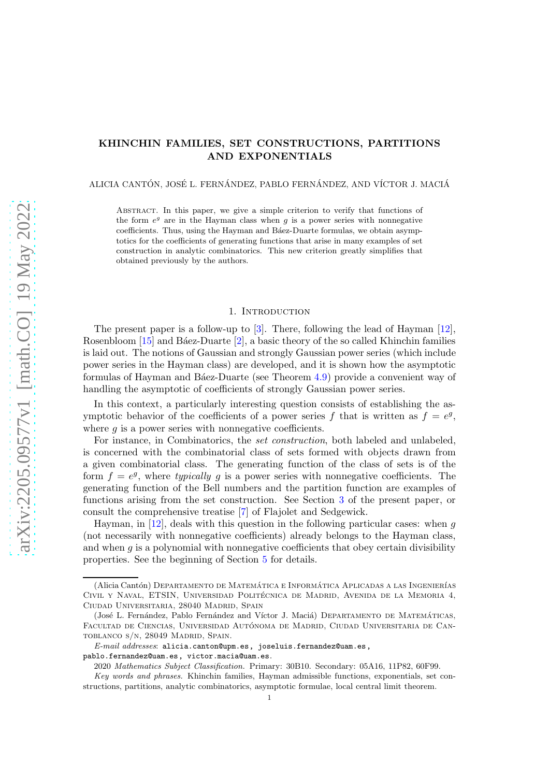# KHINCHIN FAMILIES, SET CONSTRUCTIONS, PARTITIONS AND EXPONENTIALS

ALICIA CANTÓN, JOSÉ L. FERNÁNDEZ, PABLO FERNÁNDEZ, AND VÍCTOR J. MACIÁ

Abstract. In this paper, we give a simple criterion to verify that functions of the form  $e^g$  are in the Hayman class when  $g$  is a power series with nonnegative coefficients. Thus, using the Hayman and Ba'ez-Duarte formulas, we obtain asymptotics for the coefficients of generating functions that arise in many examples of set construction in analytic combinatorics. This new criterion greatly simplifies that obtained previously by the authors.

### 1. INTRODUCTION

The present paper is a follow-up to [\[3\]](#page-22-0). There, following the lead of Hayman [\[12\]](#page-22-1), Rosenbloom  $[15]$  and Báez-Duarte  $[2]$ , a basic theory of the so called Khinchin families is laid out. The notions of Gaussian and strongly Gaussian power series (which include power series in the Hayman class) are developed, and it is shown how the asymptotic formulas of Hayman and Báez-Duarte (see Theorem [4.9\)](#page-13-0) provide a convenient way of handling the asymptotic of coefficients of strongly Gaussian power series.

In this context, a particularly interesting question consists of establishing the asymptotic behavior of the coefficients of a power series f that is written as  $f = e^g$ , where  $g$  is a power series with nonnegative coefficients.

For instance, in Combinatorics, the *set construction*, both labeled and unlabeled, is concerned with the combinatorial class of sets formed with objects drawn from a given combinatorial class. The generating function of the class of sets is of the form  $f = e^g$ , where typically g is a power series with nonnegative coefficients. The generating function of the Bell numbers and the partition function are examples of functions arising from the set construction. See Section [3](#page-5-0) of the present paper, or consult the comprehensive treatise [\[7\]](#page-22-3) of Flajolet and Sedgewick.

Hayman, in  $[12]$ , deals with this question in the following particular cases: when g (not necessarily with nonnegative coefficients) already belongs to the Hayman class, and when  $g$  is a polynomial with nonnegative coefficients that obey certain divisibility properties. See the beginning of Section [5](#page-14-0) for details.

<sup>(</sup>Alicia Cantón) DEPARTAMENTO DE MATEMÁTICA E INFORMÁTICA APLICADAS A LAS INGENIERÍAS CIVIL Y NAVAL, ETSIN, UNIVERSIDAD POLITÉCNICA DE MADRID, AVENIDA DE LA MEMORIA 4, Ciudad Universitaria, 28040 Madrid, Spain

<sup>(</sup>José L. Fernández, Pablo Fernández and Víctor J. Maciá) DEPARTAMENTO DE MATEMÁTICAS, FACULTAD DE CIENCIAS, UNIVERSIDAD AUTÓNOMA DE MADRID, CIUDAD UNIVERSITARIA DE CANtoblanco s/n, 28049 Madrid, Spain.

*E-mail addresses*: alicia.canton@upm.es, joseluis.fernandez@uam.es, pablo.fernandez@uam.es, victor.macia@uam.es.

<sup>2020</sup> *Mathematics Subject Classification.* Primary: 30B10. Secondary: 05A16, 11P82, 60F99. *Key words and phrases.* Khinchin families, Hayman admissible functions, exponentials, set con-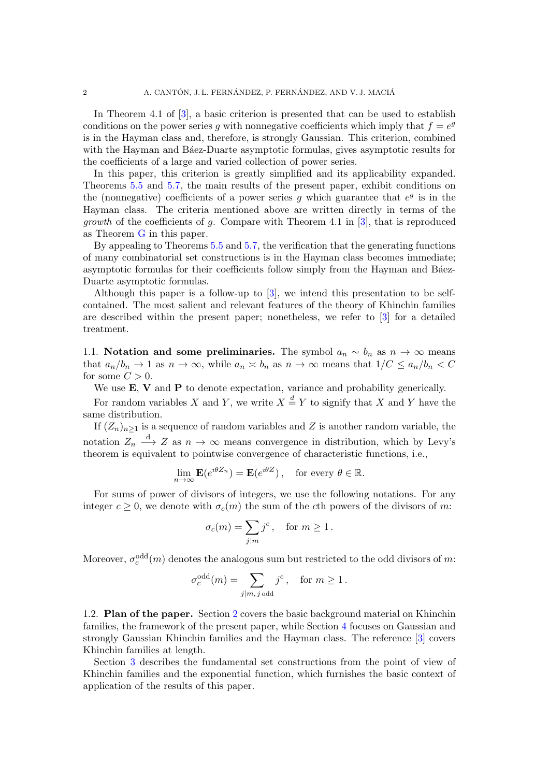In Theorem 4.1 of [\[3\]](#page-22-0), a basic criterion is presented that can be used to establish conditions on the power series g with nonnegative coefficients which imply that  $f = e^g$ is in the Hayman class and, therefore, is strongly Gaussian. This criterion, combined with the Hayman and Ba'ez-Duarte asymptotic formulas, gives asymptotic results for the coefficients of a large and varied collection of power series.

In this paper, this criterion is greatly simplified and its applicability expanded. Theorems [5.5](#page-17-0) and [5.7,](#page-18-0) the main results of the present paper, exhibit conditions on the (nonnegative) coefficients of a power series  $g$  which guarantee that  $e^g$  is in the Hayman class. The criteria mentioned above are written directly in terms of the *growth* of the coefficients of q. Compare with Theorem 4.1 in  $[3]$ , that is reproduced as Theorem [G](#page-15-0) in this paper.

By appealing to Theorems [5.5](#page-17-0) and [5.7,](#page-18-0) the verification that the generating functions of many combinatorial set constructions is in the Hayman class becomes immediate; asymptotic formulas for their coefficients follow simply from the Hayman and Báez-Duarte asymptotic formulas.

Although this paper is a follow-up to [\[3\]](#page-22-0), we intend this presentation to be selfcontained. The most salient and relevant features of the theory of Khinchin families are described within the present paper; nonetheless, we refer to [\[3\]](#page-22-0) for a detailed treatment.

1.1. Notation and some preliminaries. The symbol  $a_n \sim b_n$  as  $n \to \infty$  means that  $a_n/b_n \to 1$  as  $n \to \infty$ , while  $a_n \times b_n$  as  $n \to \infty$  means that  $1/C \le a_n/b_n < C$ for some  $C > 0$ .

We use **E**, **V** and **P** to denote expectation, variance and probability generically.

For random variables X and Y, we write  $X \stackrel{d}{=} Y$  to signify that X and Y have the same distribution.

If  $(Z_n)_{n\geq 1}$  is a sequence of random variables and Z is another random variable, the notation  $Z_n \longrightarrow Z$  as  $n \to \infty$  means convergence in distribution, which by Levy's theorem is equivalent to pointwise convergence of characteristic functions, i.e.,

$$
\lim_{n \to \infty} \mathbf{E}(e^{i\theta Z_n}) = \mathbf{E}(e^{i\theta Z}), \text{ for every } \theta \in \mathbb{R}.
$$

For sums of power of divisors of integers, we use the following notations. For any integer  $c \ge 0$ , we denote with  $\sigma_c(m)$  the sum of the cth powers of the divisors of m:

$$
\sigma_c(m) = \sum_{j|m} j^c, \quad \text{for } m \ge 1.
$$

Moreover,  $\sigma_c^{\text{odd}}(m)$  denotes the analogous sum but restricted to the odd divisors of m:

$$
\sigma_c^{\text{odd}}(m) = \sum_{j|m, j \text{ odd}} j^c, \text{ for } m \ge 1.
$$

1.2. Plan of the paper. Section [2](#page-2-0) covers the basic background material on Khinchin families, the framework of the present paper, while Section [4](#page-8-0) focuses on Gaussian and strongly Gaussian Khinchin families and the Hayman class. The reference [\[3\]](#page-22-0) covers Khinchin families at length.

Section [3](#page-5-0) describes the fundamental set constructions from the point of view of Khinchin families and the exponential function, which furnishes the basic context of application of the results of this paper.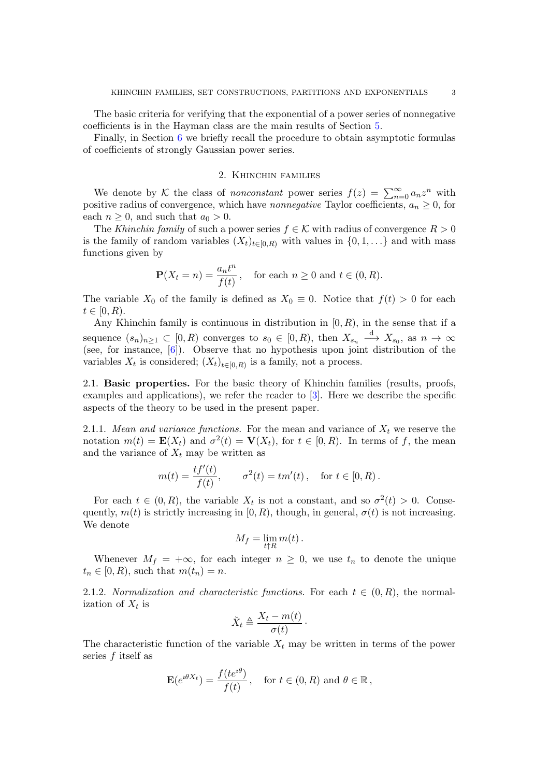The basic criteria for verifying that the exponential of a power series of nonnegative coefficients is in the Hayman class are the main results of Section [5.](#page-14-0)

<span id="page-2-0"></span>Finally, in Section [6](#page-21-0) we briefly recall the procedure to obtain asymptotic formulas of coefficients of strongly Gaussian power series.

#### 2. Khinchin families

We denote by K the class of *nonconstant* power series  $f(z) = \sum_{n=0}^{\infty} a_n z^n$  with positive radius of convergence, which have *nonnegative* Taylor coefficients,  $a_n \geq 0$ , for each  $n \geq 0$ , and such that  $a_0 > 0$ .

The Khinchin family of such a power series  $f \in \mathcal{K}$  with radius of convergence  $R > 0$ is the family of random variables  $(X_t)_{t\in[0,R)}$  with values in  $\{0,1,\ldots\}$  and with mass functions given by

$$
\mathbf{P}(X_t = n) = \frac{a_n t^n}{f(t)}, \quad \text{for each } n \ge 0 \text{ and } t \in (0, R).
$$

The variable  $X_0$  of the family is defined as  $X_0 \equiv 0$ . Notice that  $f(t) > 0$  for each  $t \in [0, R)$ .

Any Khinchin family is continuous in distribution in  $[0, R)$ , in the sense that if a sequence  $(s_n)_{n\geq 1} \subset [0, R)$  converges to  $s_0 \in [0, R)$ , then  $X_{s_n} \stackrel{d}{\longrightarrow} X_{s_0}$ , as  $n \to \infty$ (see, for instance, [\[6\]](#page-22-4)). Observe that no hypothesis upon joint distribution of the variables  $X_t$  is considered;  $(X_t)_{t\in[0,R)}$  is a family, not a process.

2.1. Basic properties. For the basic theory of Khinchin families (results, proofs, examples and applications), we refer the reader to [\[3\]](#page-22-0). Here we describe the specific aspects of the theory to be used in the present paper.

2.1.1. Mean and variance functions. For the mean and variance of  $X_t$  we reserve the notation  $m(t) = \mathbf{E}(X_t)$  and  $\sigma^2(t) = \mathbf{V}(X_t)$ , for  $t \in [0, R)$ . In terms of f, the mean and the variance of  $X_t$  may be written as

$$
m(t) = \frac{tf'(t)}{f(t)}, \qquad \sigma^2(t) = tm'(t), \quad \text{for } t \in [0, R).
$$

For each  $t \in (0, R)$ , the variable  $X_t$  is not a constant, and so  $\sigma^2(t) > 0$ . Consequently,  $m(t)$  is strictly increasing in [0, R), though, in general,  $\sigma(t)$  is not increasing. We denote

$$
M_f = \lim_{t \uparrow R} m(t) \, .
$$

Whenever  $M_f = +\infty$ , for each integer  $n \geq 0$ , we use  $t_n$  to denote the unique  $t_n \in [0, R)$ , such that  $m(t_n) = n$ .

2.1.2. Normalization and characteristic functions. For each  $t \in (0, R)$ , the normalization of  $X_t$  is

$$
\breve{X}_t \triangleq \frac{X_t - m(t)}{\sigma(t)}.
$$

The characteristic function of the variable  $X_t$  may be written in terms of the power series  $f$  itself as

$$
\mathbf{E}(e^{i\theta X_t}) = \frac{f(te^{i\theta})}{f(t)}, \quad \text{for } t \in (0, R) \text{ and } \theta \in \mathbb{R},
$$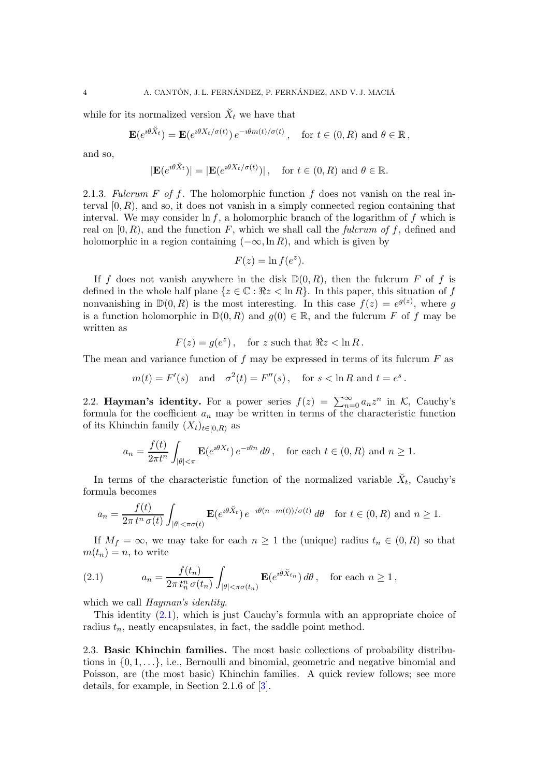while for its normalized version  $\check{X}_t$  we have that

$$
\mathbf{E}(e^{i\theta \check{X}_t}) = \mathbf{E}(e^{i\theta X_t/\sigma(t)}) e^{-i\theta m(t)/\sigma(t)}, \text{ for } t \in (0, R) \text{ and } \theta \in \mathbb{R},
$$

and so,

$$
|\mathbf{E}(e^{i\theta \check{X}_t})| = |\mathbf{E}(e^{i\theta X_t/\sigma(t)})|
$$
, for  $t \in (0, R)$  and  $\theta \in \mathbb{R}$ .

<span id="page-3-2"></span>2.1.3. Fulcrum F of f. The holomorphic function f does not vanish on the real interval  $[0, R)$ , and so, it does not vanish in a simply connected region containing that interval. We may consider  $\ln f$ , a holomorphic branch of the logarithm of f which is real on  $[0, R)$ , and the function F, which we shall call the fulcrum of f, defined and holomorphic in a region containing  $(-\infty, \ln R)$ , and which is given by

$$
F(z) = \ln f(e^z).
$$

If f does not vanish anywhere in the disk  $\mathbb{D}(0,R)$ , then the fulcrum F of f is defined in the whole half plane  $\{z \in \mathbb{C} : \Re z < \ln R\}$ . In this paper, this situation of f nonvanishing in  $\mathbb{D}(0, R)$  is the most interesting. In this case  $f(z) = e^{g(z)}$ , where g is a function holomorphic in  $\mathbb{D}(0, R)$  and  $g(0) \in \mathbb{R}$ , and the fulcrum F of f may be written as

$$
F(z) = g(e^z), \quad \text{for } z \text{ such that } \Re z < \ln R \, .
$$

The mean and variance function of  $f$  may be expressed in terms of its fulcrum  $F$  as

$$
m(t) = F'(s)
$$
 and  $\sigma^2(t) = F''(s)$ , for  $s < \ln R$  and  $t = e^s$ .

2.2. Hayman's identity. For a power series  $f(z) = \sum_{n=0}^{\infty} a_n z^n$  in K, Cauchy's formula for the coefficient  $a_n$  may be written in terms of the characteristic function of its Khinchin family  $(X_t)_{t\in[0,R)}$  as

$$
a_n = \frac{f(t)}{2\pi t^n} \int_{|\theta| < \pi} \mathbf{E}(e^{i\theta X_t}) e^{-i\theta n} d\theta, \text{ for each } t \in (0, R) \text{ and } n \ge 1.
$$

In terms of the characteristic function of the normalized variable  $\check{X}_t$ , Cauchy's formula becomes

$$
a_n = \frac{f(t)}{2\pi t^n \sigma(t)} \int_{|\theta| < \pi\sigma(t)} \mathbf{E}(e^{i\theta \check{X}_t}) e^{-i\theta(n-m(t))/\sigma(t)} d\theta \quad \text{for } t \in (0, R) \text{ and } n \ge 1.
$$

If  $M_f = \infty$ , we may take for each  $n \geq 1$  the (unique) radius  $t_n \in (0, R)$  so that  $m(t_n) = n$ , to write

<span id="page-3-0"></span>(2.1) 
$$
a_n = \frac{f(t_n)}{2\pi t_n^n \sigma(t_n)} \int_{|\theta| < \pi\sigma(t_n)} \mathbf{E}(e^{i\theta \check{X}_{t_n}}) d\theta, \text{ for each } n \ge 1,
$$

which we call *Hayman's identity*.

This identity [\(2.1\)](#page-3-0), which is just Cauchy's formula with an appropriate choice of radius  $t_n$ , neatly encapsulates, in fact, the saddle point method.

<span id="page-3-1"></span>2.3. Basic Khinchin families. The most basic collections of probability distributions in  $\{0, 1, \ldots\}$ , i.e., Bernoulli and binomial, geometric and negative binomial and Poisson, are (the most basic) Khinchin families. A quick review follows; see more details, for example, in Section 2.1.6 of [\[3\]](#page-22-0).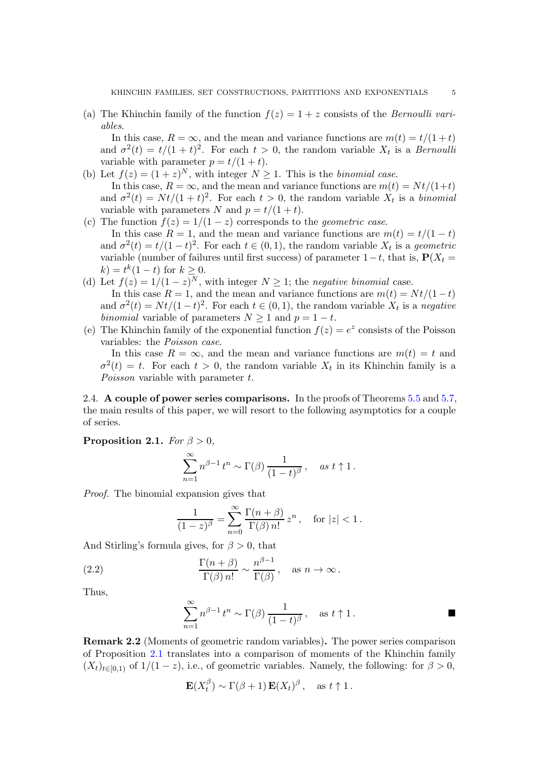(a) The Khinchin family of the function  $f(z) = 1 + z$  consists of the *Bernoulli vari*ables.

In this case,  $R = \infty$ , and the mean and variance functions are  $m(t) = t/(1+t)$ and  $\sigma^2(t) = t/(1+t)^2$ . For each  $t > 0$ , the random variable  $X_t$  is a *Bernoulli* variable with parameter  $p = t/(1 + t)$ .

- (b) Let  $f(z) = (1+z)^N$ , with integer  $N \ge 1$ . This is the *binomial case*. In this case,  $R = \infty$ , and the mean and variance functions are  $m(t) = Nt/(1+t)$ and  $\sigma^2(t) = Nt/(1+t)^2$ . For each  $t > 0$ , the random variable  $X_t$  is a binomial variable with parameters N and  $p = t/(1 + t)$ .
- (c) The function  $f(z) = 1/(1-z)$  corresponds to the *geometric case*. In this case  $R = 1$ , and the mean and variance functions are  $m(t) = t/(1-t)$ and  $\sigma^2(t) = t/(1-t)^2$ . For each  $t \in (0,1)$ , the random variable  $X_t$  is a geometric variable (number of failures until first success) of parameter  $1-t$ , that is,  $P(X_t =$  $(k) = t^k(1-t)$  for  $k \geq 0$ .
- (d) Let  $f(z) = 1/(1-z)^N$ , with integer  $N \ge 1$ ; the negative binomial case. In this case  $R = 1$ , and the mean and variance functions are  $m(t) = Nt/(1-t)$ and  $\sigma^2(t) = Nt/(1-t)^2$ . For each  $t \in (0,1)$ , the random variable  $X_t$  is a negative binomial variable of parameters  $N \geq 1$  and  $p = 1 - t$ .
- (e) The Khinchin family of the exponential function  $f(z) = e^z$  consists of the Poisson variables: the Poisson case.

In this case  $R = \infty$ , and the mean and variance functions are  $m(t) = t$  and  $\sigma^2(t) = t$ . For each  $t > 0$ , the random variable  $X_t$  in its Khinchin family is a Poisson variable with parameter t.

2.4. A couple of power series comparisons. In the proofs of Theorems [5.5](#page-17-0) and [5.7,](#page-18-0) the main results of this paper, we will resort to the following asymptotics for a couple of series.

<span id="page-4-0"></span>**Proposition 2.1.** For  $\beta > 0$ ,

$$
\sum_{n=1}^{\infty} n^{\beta-1} t^n \sim \Gamma(\beta) \frac{1}{(1-t)^{\beta}}, \quad \text{as } t \uparrow 1.
$$

Proof. The binomial expansion gives that

$$
\frac{1}{(1-z)^{\beta}} = \sum_{n=0}^{\infty} \frac{\Gamma(n+\beta)}{\Gamma(\beta) n!} z^n, \text{ for } |z| < 1.
$$

And Stirling's formula gives, for  $\beta > 0$ , that

(2.2) 
$$
\frac{\Gamma(n+\beta)}{\Gamma(\beta) n!} \sim \frac{n^{\beta-1}}{\Gamma(\beta)}, \text{ as } n \to \infty.
$$

Thus,

<span id="page-4-1"></span>
$$
\sum_{n=1}^{\infty} n^{\beta - 1} t^n \sim \Gamma(\beta) \frac{1}{(1 - t)^{\beta}}, \quad \text{as } t \uparrow 1.
$$

Remark 2.2 (Moments of geometric random variables). The power series comparison of Proposition [2.1](#page-4-0) translates into a comparison of moments of the Khinchin family  $(X_t)_{t\in[0,1)}$  of  $1/(1-z)$ , i.e., of geometric variables. Namely, the following: for  $\beta > 0$ ,

$$
\mathbf{E}(X_t^{\beta}) \sim \Gamma(\beta + 1) \mathbf{E}(X_t)^{\beta}, \text{ as } t \uparrow 1.
$$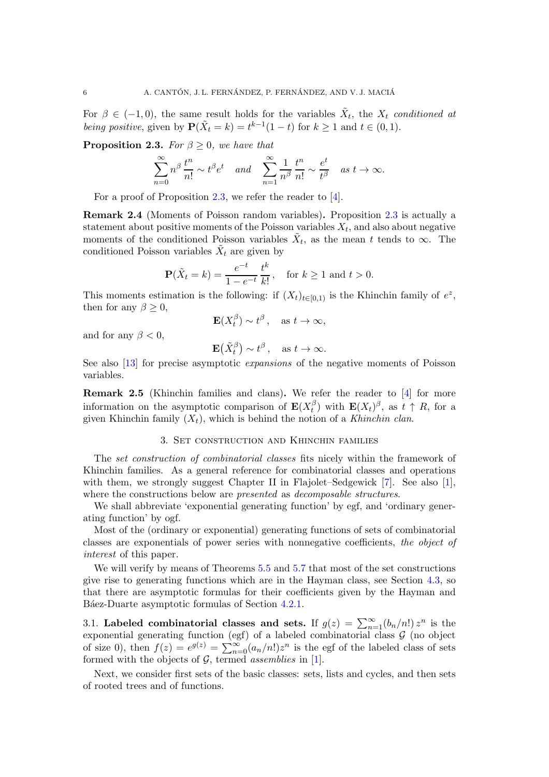For  $\beta \in (-1,0)$ , the same result holds for the variables  $\tilde{X}_t$ , the  $X_t$  conditioned at being positive, given by  $\mathbf{P}(\tilde{X}_t = k) = t^{k-1}(1-t)$  for  $k \ge 1$  and  $t \in (0,1)$ .

<span id="page-5-1"></span>**Proposition 2.3.** For  $\beta \geq 0$ , we have that

$$
\sum_{n=0}^{\infty} n^{\beta} \frac{t^n}{n!} \sim t^{\beta} e^t \quad and \quad \sum_{n=1}^{\infty} \frac{1}{n^{\beta}} \frac{t^n}{n!} \sim \frac{e^t}{t^{\beta}} \quad as \ t \to \infty.
$$

For a proof of Proposition [2.3,](#page-5-1) we refer the reader to [\[4\]](#page-22-5).

Remark 2.4 (Moments of Poisson random variables). Proposition [2.3](#page-5-1) is actually a statement about positive moments of the Poisson variables  $X_t$ , and also about negative moments of the conditioned Poisson variables  $\tilde{X}_t$ , as the mean t tends to  $\infty$ . The conditioned Poisson variables  $\tilde{X}_t$  are given by

$$
\mathbf{P}(\tilde{X}_t = k) = \frac{e^{-t}}{1 - e^{-t}} \frac{t^k}{k!}, \quad \text{for } k \ge 1 \text{ and } t > 0.
$$

This moments estimation is the following: if  $(X_t)_{t\in[0,1)}$  is the Khinchin family of  $e^z$ , then for any  $\beta \geq 0$ ,

$$
\mathbf{E}(X_t^{\beta}) \sim t^{\beta}, \quad \text{as } t \to \infty,
$$

and for any  $\beta < 0$ ,

$$
\mathbf{E}(\tilde{X}_t^{\beta}) \sim t^{\beta}, \quad \text{as } t \to \infty.
$$

See also [\[13\]](#page-22-6) for precise asymptotic expansions of the negative moments of Poisson variables.

Remark 2.5 (Khinchin families and clans). We refer the reader to [\[4\]](#page-22-5) for more information on the asymptotic comparison of  $\mathbf{E}(X_t^{\beta})$  $(t<sup>\beta</sup>)$  with  $\mathbf{E}(X_t)^\beta$ , as  $t \uparrow R$ , for a given Khinchin family  $(X_t)$ , which is behind the notion of a Khinchin clan.

## 3. Set construction and Khinchin families

<span id="page-5-0"></span>The set construction of combinatorial classes fits nicely within the framework of Khinchin families. As a general reference for combinatorial classes and operations with them, we strongly suggest Chapter II in Flajolet–Sedgewick [\[7\]](#page-22-3). See also [\[1\]](#page-22-7), where the constructions below are *presented* as *decomposable structures*.

We shall abbreviate 'exponential generating function' by egf, and 'ordinary generating function' by ogf.

Most of the (ordinary or exponential) generating functions of sets of combinatorial classes are exponentials of power series with nonnegative coefficients, the object of interest of this paper.

We will verify by means of Theorems [5.5](#page-17-0) and [5.7](#page-18-0) that most of the set constructions give rise to generating functions which are in the Hayman class, see Section [4.3,](#page-14-1) so that there are asymptotic formulas for their coefficients given by the Hayman and Báez-Duarte asymptotic formulas of Section [4.2.1.](#page-13-1)

3.1. Labeled combinatorial classes and sets. If  $g(z) = \sum_{n=1}^{\infty} (b_n/n!) z^n$  is the exponential generating function (egf) of a labeled combinatorial class  $G$  (no object of size 0), then  $f(z) = e^{g(z)} = \sum_{n=0}^{\infty} (a_n/n!) z^n$  is the egf of the labeled class of sets formed with the objects of  $G$ , termed *assemblies* in [\[1\]](#page-22-7).

Next, we consider first sets of the basic classes: sets, lists and cycles, and then sets of rooted trees and of functions.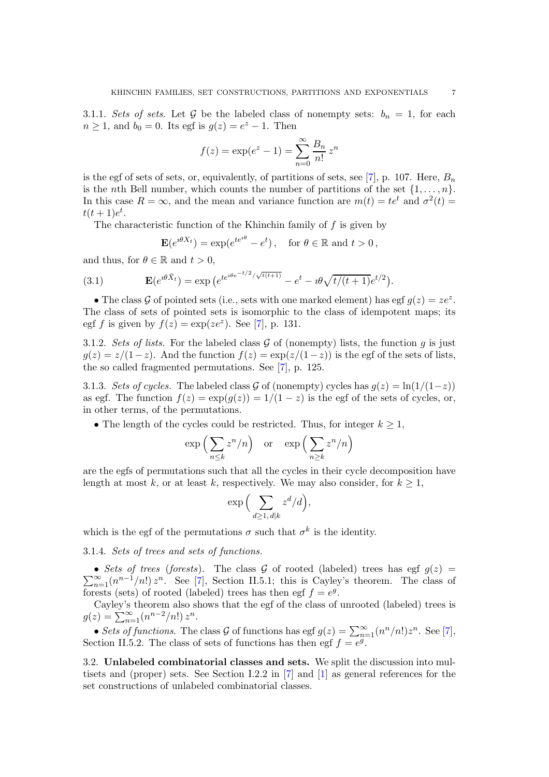3.1.1. Sets of sets. Let G be the labeled class of nonempty sets:  $b_n = 1$ , for each  $n \ge 1$ , and  $b_0 = 0$ . Its egf is  $g(z) = e^z - 1$ . Then

$$
f(z) = \exp(e^z - 1) = \sum_{n=0}^{\infty} \frac{B_n}{n!} z^n
$$

is the egf of sets of sets, or, equivalently, of partitions of sets, see [\[7\]](#page-22-3), p. 107. Here,  $B_n$ is the nth Bell number, which counts the number of partitions of the set  $\{1, \ldots, n\}$ . In this case  $R = \infty$ , and the mean and variance function are  $m(t) = te^{t}$  and  $\sigma^{2}(t) =$  $t(t+1)e^t$ .

The characteristic function of the Khinchin family of  $f$  is given by

$$
\mathbf{E}(e^{i\theta X_t}) = \exp(e^{te^{i\theta}} - e^t), \text{ for } \theta \in \mathbb{R} \text{ and } t > 0,
$$

and thus, for  $\theta \in \mathbb{R}$  and  $t > 0$ ,

(3.1) 
$$
\mathbf{E}(e^{i\theta \check{X}_t}) = \exp\left(e^{te^{i\theta e^{-t/2}}/\sqrt{t(t+1)}} - e^t - i\theta \sqrt{t/(t+1)}e^{t/2}\right).
$$

• The class G of pointed sets (i.e., sets with one marked element) has egf  $g(z) = ze^z$ . The class of sets of pointed sets is isomorphic to the class of idempotent maps; its egf f is given by  $f(z) = \exp(ze^z)$ . See [\[7\]](#page-22-3), p. 131.

3.1.2. Sets of lists. For the labeled class  $\mathcal G$  of (nonempty) lists, the function  $q$  is just  $g(z) = z/(1-z)$ . And the function  $f(z) = \exp(z/(1-z))$  is the egf of the sets of lists, the so called fragmented permutations. See [\[7\]](#page-22-3), p. 125.

3.1.3. Sets of cycles. The labeled class G of (nonempty) cycles has  $g(z) = \ln(1/(1-z))$ as egf. The function  $f(z) = \exp(q(z)) = 1/(1-z)$  is the egf of the sets of cycles, or, in other terms, of the permutations.

• The length of the cycles could be restricted. Thus, for integer  $k \geq 1$ ,

$$
\exp\left(\sum_{n\leq k} z^n/n\right)
$$
 or  $\exp\left(\sum_{n\geq k} z^n/n\right)$ 

are the egfs of permutations such that all the cycles in their cycle decomposition have length at most k, or at least k, respectively. We may also consider, for  $k \geq 1$ ,

$$
\exp\Big(\sum_{d\ge 1,\, d|k} z^d/d\Big),
$$

which is the egf of the permutations  $\sigma$  such that  $\sigma^k$  is the identity.

3.1.4. Sets of trees and sets of functions.

• Sets of trees (forests). The class G of rooted (labeled) trees has egf  $g(z) = \sum_{n=1}^{\infty} (n^{n-1}/n!) z^n$ . See [\[7\]](#page-22-3), Section II.5.1; this is Cayley's theorem. The class of forests (sets) of rooted (labeled) trees has then egf  $f = e^g$ .

Cayley's theorem also shows that the egf of the class of unrooted (labeled) trees is  $g(z) = \sum_{n=1}^{\infty} (n^{n-2}/n!) z^n$ .

• Sets of functions. The class G of functions has egf  $g(z) = \sum_{n=1}^{\infty} (n^n/n!) z^n$ . See [\[7\]](#page-22-3), Section II.5.2. The class of sets of functions has then egf  $f = e^{\tilde{g}}$ .

3.2. Unlabeled combinatorial classes and sets. We split the discussion into multisets and (proper) sets. See Section I.2.2 in [\[7\]](#page-22-3) and [\[1\]](#page-22-7) as general references for the set constructions of unlabeled combinatorial classes.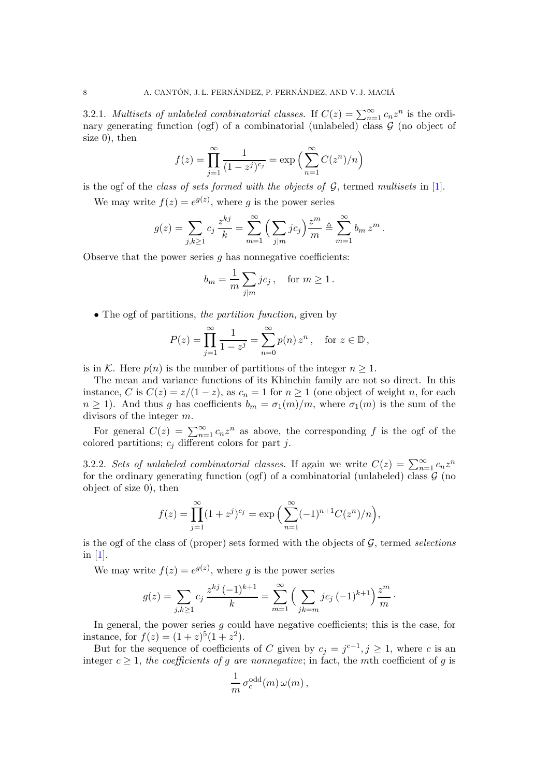3.2.1. Multisets of unlabeled combinatorial classes. If  $C(z) = \sum_{n=1}^{\infty} c_n z^n$  is the ordinary generating function (ogf) of a combinatorial (unlabeled) class  $\mathcal G$  (no object of size 0), then

$$
f(z) = \prod_{j=1}^{\infty} \frac{1}{(1 - z^j)^{c_j}} = \exp\left(\sum_{n=1}^{\infty} C(z^n)/n\right)
$$

is the ogf of the *class of sets formed with the objects of*  $G$ , termed multisets in [\[1\]](#page-22-7).

We may write  $f(z) = e^{g(z)}$ , where g is the power series

$$
g(z) = \sum_{j,k \geq 1} c_j \frac{z^{kj}}{k} = \sum_{m=1}^{\infty} \left( \sum_{j|m} j c_j \right) \frac{z^m}{m} \triangleq \sum_{m=1}^{\infty} b_m z^m.
$$

Observe that the power series  $g$  has nonnegative coefficients:

$$
b_m = \frac{1}{m} \sum_{j|m} jc_j \,, \quad \text{for } m \ge 1 \,.
$$

• The ogf of partitions, the partition function, given by

$$
P(z) = \prod_{j=1}^{\infty} \frac{1}{1 - z^j} = \sum_{n=0}^{\infty} p(n) z^n, \text{ for } z \in \mathbb{D},
$$

is in K. Here  $p(n)$  is the number of partitions of the integer  $n \geq 1$ .

The mean and variance functions of its Khinchin family are not so direct. In this instance, C is  $C(z) = z/(1-z)$ , as  $c_n = 1$  for  $n \ge 1$  (one object of weight n, for each  $n \geq 1$ ). And thus g has coefficients  $b_m = \sigma_1(m)/m$ , where  $\sigma_1(m)$  is the sum of the divisors of the integer m.

For general  $C(z) = \sum_{n=1}^{\infty} c_n z^n$  as above, the corresponding f is the ogf of the colored partitions;  $c_i$  different colors for part j.

3.2.2. Sets of unlabeled combinatorial classes. If again we write  $C(z) = \sum_{n=1}^{\infty} c_n z^n$ for the ordinary generating function (ogf) of a combinatorial (unlabeled) class  $\mathcal G$  (no object of size 0), then

$$
f(z) = \prod_{j=1}^{\infty} (1 + z^j)^{c_j} = \exp\left(\sum_{n=1}^{\infty} (-1)^{n+1} C(z^n)/n\right),
$$

is the ogf of the class of (proper) sets formed with the objects of  $G$ , termed selections in [\[1\]](#page-22-7).

We may write  $f(z) = e^{g(z)}$ , where g is the power series

$$
g(z) = \sum_{j,k \ge 1} c_j \, \frac{z^{kj} \, (-1)^{k+1}}{k} = \sum_{m=1}^{\infty} \Big( \sum_{jk=m} j c_j \, (-1)^{k+1} \Big) \frac{z^m}{m} \, .
$$

In general, the power series  $q$  could have negative coefficients; this is the case, for instance, for  $f(z) = (1+z)^5(1+z^2)$ .

But for the sequence of coefficients of C given by  $c_j = j^{c-1}, j \ge 1$ , where c is an integer  $c \geq 1$ , the coefficients of g are nonnegative; in fact, the mth coefficient of g is

$$
\frac{1}{m} \,\sigma_c^{\text{odd}}(m) \,\omega(m)\,,
$$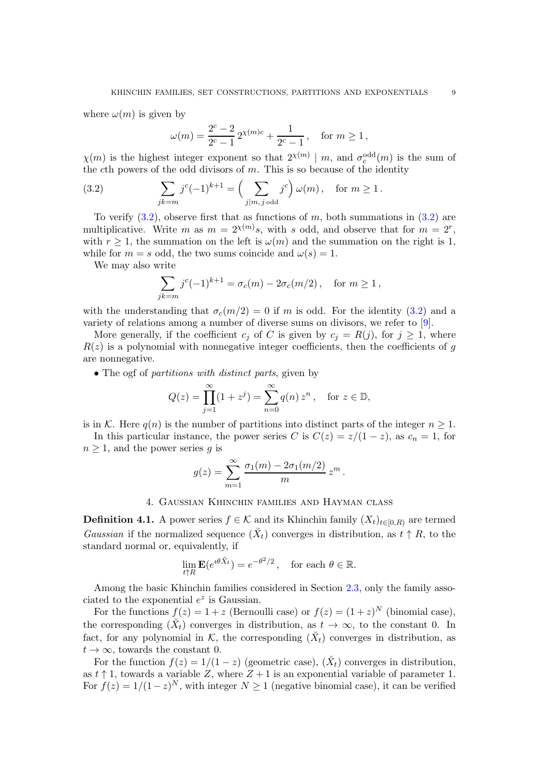where  $\omega(m)$  is given by

<span id="page-8-1"></span>
$$
\omega(m) = \frac{2^c - 2}{2^c - 1} 2^{\chi(m)c} + \frac{1}{2^c - 1}, \quad \text{for } m \ge 1,
$$

 $\chi(m)$  is the highest integer exponent so that  $2^{\chi(m)} \mid m$ , and  $\sigma_c^{\text{odd}}(m)$  is the sum of the cth powers of the odd divisors of  $m$ . This is so because of the identity

(3.2) 
$$
\sum_{jk=m} j^{c} (-1)^{k+1} = \left( \sum_{j|m, j \text{ odd}} j^{c} \right) \omega(m), \text{ for } m \ge 1.
$$

To verify  $(3.2)$ , observe first that as functions of m, both summations in  $(3.2)$  are multiplicative. Write m as  $m = 2^{\chi(m)}s$ , with s odd, and observe that for  $m = 2^r$ , with  $r > 1$ , the summation on the left is  $\omega(m)$  and the summation on the right is 1, while for  $m = s$  odd, the two sums coincide and  $\omega(s) = 1$ .

We may also write

 $\hat{j}$ 

$$
\sum_{k=m} j^{c} (-1)^{k+1} = \sigma_c(m) - 2\sigma_c(m/2), \text{ for } m \ge 1,
$$

with the understanding that  $\sigma_c(m/2) = 0$  if m is odd. For the identity [\(3.2\)](#page-8-1) and a variety of relations among a number of diverse sums on divisors, we refer to [\[9\]](#page-22-8).

More generally, if the coefficient  $c_j$  of C is given by  $c_j = R(j)$ , for  $j \ge 1$ , where  $R(z)$  is a polynomial with nonnegative integer coefficients, then the coefficients of g are nonnegative.

• The ogf of *partitions* with distinct parts, given by

$$
Q(z) = \prod_{j=1}^{\infty} (1 + z^j) = \sum_{n=0}^{\infty} q(n) z^n, \text{ for } z \in \mathbb{D},
$$

is in K. Here  $q(n)$  is the number of partitions into distinct parts of the integer  $n \geq 1$ .

In this particular instance, the power series C is  $C(z) = z/(1-z)$ , as  $c_n = 1$ , for  $n \geq 1$ , and the power series q is

$$
g(z) = \sum_{m=1}^{\infty} \frac{\sigma_1(m) - 2\sigma_1(m/2)}{m} z^m.
$$

### 4. Gaussian Khinchin families and Hayman class

<span id="page-8-0"></span>**Definition 4.1.** A power series  $f \in \mathcal{K}$  and its Khinchin family  $(X_t)_{t \in [0,R)}$  are termed Gaussian if the normalized sequence  $(X_t)$  converges in distribution, as  $t \uparrow R$ , to the standard normal or, equivalently, if

$$
\lim_{t \uparrow R} \mathbf{E}(e^{i\theta \check{X}_t}) = e^{-\theta^2/2}, \quad \text{for each } \theta \in \mathbb{R}.
$$

Among the basic Khinchin families considered in Section [2.3,](#page-3-1) only the family associated to the exponential  $e^z$  is Gaussian.

For the functions  $f(z) = 1 + z$  (Bernoulli case) or  $f(z) = (1 + z)^N$  (binomial case), the corresponding  $(X_t)$  converges in distribution, as  $t \to \infty$ , to the constant 0. In fact, for any polynomial in  $K$ , the corresponding  $(X_t)$  converges in distribution, as  $t \to \infty$ , towards the constant 0.

For the function  $f(z) = 1/(1-z)$  (geometric case),  $(\check{X}_t)$  converges in distribution, as  $t \uparrow 1$ , towards a variable Z, where  $Z + 1$  is an exponential variable of parameter 1. For  $f(z) = 1/(1-z)^N$ , with integer  $N \ge 1$  (negative binomial case), it can be verified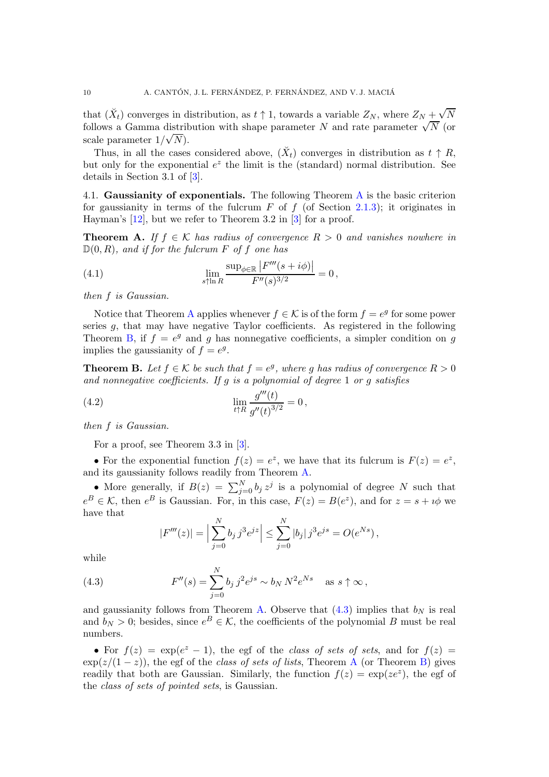that  $(\check{X}_t)$  converges in distribution, as  $t \uparrow 1$ , towards a variable  $Z_N$ , where  $Z_N + \sqrt{N}$ follows a Gamma distribution with shape parameter N and rate parameter  $\sqrt{N}$  (or scale parameter  $1/\sqrt{N}$ ).

Thus, in all the cases considered above,  $(\check{X}_t)$  converges in distribution as  $t \uparrow R$ , but only for the exponential  $e^z$  the limit is the (standard) normal distribution. See details in Section 3.1 of [\[3\]](#page-22-0).

<span id="page-9-4"></span>4.1. Gaussianity of exponentials. The following Theorem  $A$  is the basic criterion for gaussianity in terms of the fulcrum  $F$  of  $f$  (of Section [2.1.3\)](#page-3-2); it originates in Hayman's [\[12\]](#page-22-1), but we refer to Theorem 3.2 in [\[3\]](#page-22-0) for a proof.

<span id="page-9-0"></span>**Theorem A.** If  $f \in K$  has radius of convergence  $R > 0$  and vanishes nowhere in  $\mathbb{D}(0,R)$ , and if for the fulcrum F of f one has

<span id="page-9-3"></span>(4.1) 
$$
\lim_{s \uparrow \ln R} \frac{\sup_{\phi \in \mathbb{R}} |F'''(s + i\phi)|}{F''(s)^{3/2}} = 0,
$$

then f is Gaussian.

Notice that Theorem [A](#page-9-0) applies whenever  $f \in \mathcal{K}$  is of the form  $f = e^g$  for some power series  $q$ , that may have negative Taylor coefficients. As registered in the following Theorem [B,](#page-9-1) if  $f = e^g$  and g has nonnegative coefficients, a simpler condition on g implies the gaussianity of  $f = e^g$ .

<span id="page-9-1"></span>**Theorem B.** Let  $f \in \mathcal{K}$  be such that  $f = e^g$ , where g has radius of convergence  $R > 0$ and nonnegative coefficients. If  $q$  is a polynomial of degree 1 or  $q$  satisfies

(4.2) 
$$
\lim_{t \uparrow R} \frac{g'''(t)}{g''(t)^{3/2}} = 0,
$$

then f is Gaussian.

For a proof, see Theorem 3.3 in [\[3\]](#page-22-0).

• For the exponential function  $f(z) = e^z$ , we have that its fulcrum is  $F(z) = e^z$ , and its gaussianity follows readily from Theorem [A.](#page-9-0)

• More generally, if  $B(z) = \sum_{j=0}^{N} b_j z^j$  is a polynomial of degree N such that  $e^B \in \mathcal{K}$ , then  $e^B$  is Gaussian. For, in this case,  $F(z) = B(e^z)$ , and for  $z = s + i\phi$  we have that

<span id="page-9-2"></span>
$$
|F'''(z)| = \Big|\sum_{j=0}^{N} b_j j^3 e^{jz}\Big| \le \sum_{j=0}^{N} |b_j| j^3 e^{js} = O(e^{Ns}),
$$

while

(4.3) 
$$
F''(s) = \sum_{j=0}^{N} b_j j^2 e^{js} \sim b_N N^2 e^{Ns} \text{ as } s \uparrow \infty,
$$

and gaussianity follows from Theorem [A.](#page-9-0) Observe that  $(4.3)$  implies that  $b_N$  is real and  $b_N > 0$ ; besides, since  $e^B \in \mathcal{K}$ , the coefficients of the polynomial B must be real numbers.

• For  $f(z) = \exp(e^z - 1)$ , the egf of the class of sets of sets, and for  $f(z) =$  $\exp(z/(1-z))$ , the egf of the *class of sets of lists*, Theorem [A](#page-9-0) (or Theorem [B\)](#page-9-1) gives readily that both are Gaussian. Similarly, the function  $f(z) = \exp(ze^z)$ , the egf of the class of sets of pointed sets, is Gaussian.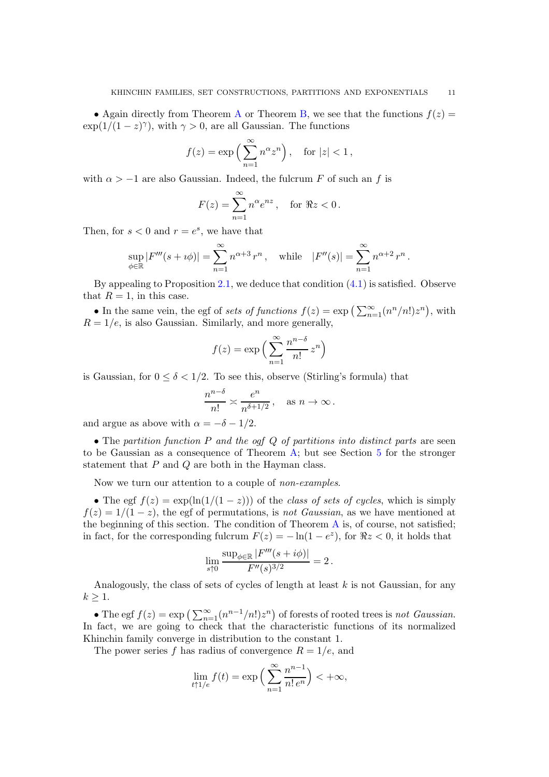• [A](#page-9-0)gain directly from Theorem A or Theorem [B,](#page-9-1) we see that the functions  $f(z) =$  $\exp(1/(1-z)^{\gamma})$ , with  $\gamma > 0$ , are all Gaussian. The functions

$$
f(z) = \exp\left(\sum_{n=1}^{\infty} n^{\alpha} z^n\right), \quad \text{for } |z| < 1,
$$

with  $\alpha > -1$  are also Gaussian. Indeed, the fulcrum F of such an f is

$$
F(z) = \sum_{n=1}^{\infty} n^{\alpha} e^{nz}, \text{ for } \Re z < 0.
$$

Then, for  $s < 0$  and  $r = e^s$ , we have that

$$
\sup_{\phi \in \mathbb{R}} |F'''(s + i\phi)| = \sum_{n=1}^{\infty} n^{\alpha+3} r^n, \text{ while } |F''(s)| = \sum_{n=1}^{\infty} n^{\alpha+2} r^n.
$$

By appealing to Proposition [2.1,](#page-4-0) we deduce that condition  $(4.1)$  is satisfied. Observe that  $R = 1$ , in this case.

• In the same vein, the egf of sets of functions  $f(z) = \exp\left(\sum_{n=1}^{\infty} (n^n/n!)z^n\right)$ , with  $R = 1/e$ , is also Gaussian. Similarly, and more generally,

$$
f(z) = \exp\left(\sum_{n=1}^{\infty} \frac{n^{n-\delta}}{n!} z^n\right)
$$

is Gaussian, for  $0 \le \delta < 1/2$ . To see this, observe (Stirling's formula) that

$$
\frac{n^{n-\delta}}{n!} \asymp \frac{e^n}{n^{\delta+1/2}}, \quad \text{as } n \to \infty.
$$

and argue as above with  $\alpha = -\delta - 1/2$ .

• The partition function  $P$  and the ogf  $Q$  of partitions into distinct parts are seen to be Gaussian as a consequence of Theorem [A;](#page-9-0) but see Section [5](#page-14-0) for the stronger statement that P and Q are both in the Hayman class.

Now we turn our attention to a couple of non-examples.

• The egf  $f(z) = \exp(\ln(1/(1-z)))$  of the class of sets of cycles, which is simply  $f(z) = 1/(1-z)$ , the egf of permutations, is not Gaussian, as we have mentioned at the beginning of this section. The condition of Theorem  $A$  is, of course, not satisfied; in fact, for the corresponding fulcrum  $F(z) = -\ln(1 - e^z)$ , for  $\Re z < 0$ , it holds that

$$
\lim_{s \uparrow 0} \frac{\sup_{\phi \in \mathbb{R}} |F'''(s + i\phi)|}{F''(s)^{3/2}} = 2.
$$

Analogously, the class of sets of cycles of length at least  $k$  is not Gaussian, for any  $k \geq 1$ .

• The egf  $f(z) = \exp\left(\sum_{n=1}^{\infty} (n^{n-1}/n!)z^n\right)$  of forests of rooted trees is not Gaussian. In fact, we are going to check that the characteristic functions of its normalized Khinchin family converge in distribution to the constant 1.

The power series f has radius of convergence  $R = 1/e$ , and

$$
\lim_{t \uparrow 1/e} f(t) = \exp\left(\sum_{n=1}^{\infty} \frac{n^{n-1}}{n! e^n}\right) < +\infty,
$$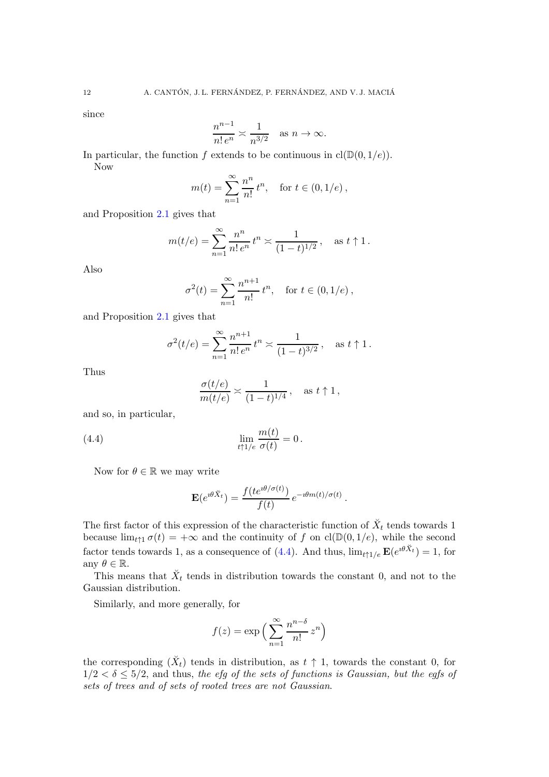since

$$
\frac{n^{n-1}}{n!e^n} \asymp \frac{1}{n^{3/2}} \quad \text{as } n \to \infty.
$$

In particular, the function f extends to be continuous in  $cl(\mathbb{D}(0, 1/e)).$ Now

$$
m(t) = \sum_{n=1}^{\infty} \frac{n^n}{n!} t^n
$$
, for  $t \in (0, 1/e)$ ,

and Proposition [2.1](#page-4-0) gives that

$$
m(t/e) = \sum_{n=1}^{\infty} \frac{n^n}{n! e^n} t^n \asymp \frac{1}{(1-t)^{1/2}}, \text{ as } t \uparrow 1.
$$

Also

$$
\sigma^{2}(t) = \sum_{n=1}^{\infty} \frac{n^{n+1}}{n!} t^{n}, \text{ for } t \in (0, 1/e),
$$

and Proposition [2.1](#page-4-0) gives that

$$
\sigma^{2}(t/e) = \sum_{n=1}^{\infty} \frac{n^{n+1}}{n! e^{n}} t^{n} \asymp \frac{1}{(1-t)^{3/2}}, \text{ as } t \uparrow 1.
$$

Thus

<span id="page-11-0"></span>
$$
\frac{\sigma(t/e)}{m(t/e)} \approx \frac{1}{(1-t)^{1/4}}, \quad \text{as } t \uparrow 1,
$$

and so, in particular,

(4.4) 
$$
\lim_{t \uparrow 1/e} \frac{m(t)}{\sigma(t)} = 0.
$$

Now for  $\theta \in \mathbb{R}$  we may write

$$
\mathbf{E}(e^{i\theta \check{X}_t}) = \frac{f(te^{i\theta/\sigma(t)})}{f(t)} e^{-i\theta m(t)/\sigma(t)}
$$

.

The first factor of this expression of the characteristic function of  $\breve{X}_t$  tends towards 1 because  $\lim_{t\uparrow 1} \sigma(t) = +\infty$  and the continuity of f on  $cl(\mathbb{D}(0, 1/e),$  while the second factor tends towards 1, as a consequence of [\(4.4\)](#page-11-0). And thus,  $\lim_{t \uparrow 1/e} \mathbf{E}(e^{i\theta \check{X}_t}) = 1$ , for any  $\theta \in \mathbb{R}$ .

This means that  $\check{X}_t$  tends in distribution towards the constant 0, and not to the Gaussian distribution.

Similarly, and more generally, for

$$
f(z) = \exp\left(\sum_{n=1}^{\infty} \frac{n^{n-\delta}}{n!} z^n\right)
$$

the corresponding  $(X_t)$  tends in distribution, as  $t \uparrow 1$ , towards the constant 0, for  $1/2 < \delta \leq 5/2$ , and thus, the efg of the sets of functions is Gaussian, but the egfs of sets of trees and of sets of rooted trees are not Gaussian.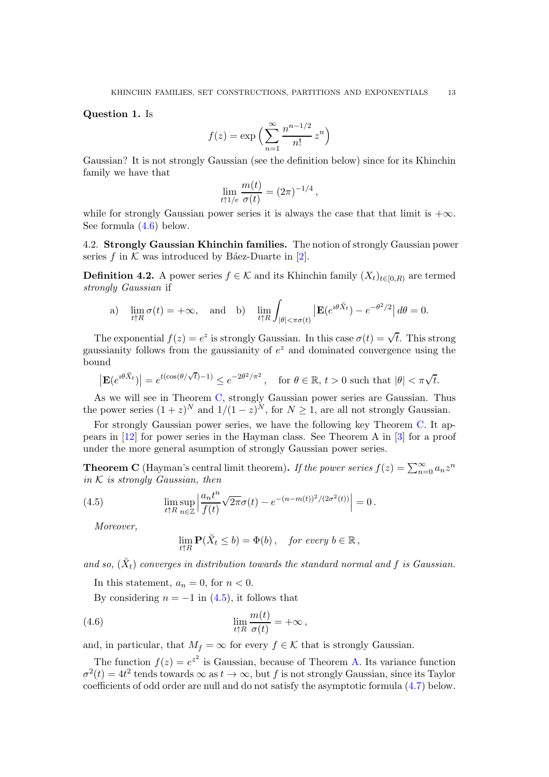Question 1. Is

$$
f(z) = \exp\left(\sum_{n=1}^{\infty} \frac{n^{n-1/2}}{n!} z^n\right)
$$

Gaussian? It is not strongly Gaussian (see the definition below) since for its Khinchin family we have that

$$
\lim_{t\uparrow 1/e}\frac{m(t)}{\sigma(t)}=(2\pi)^{-1/4},
$$

while for strongly Gaussian power series it is always the case that that limit is  $+\infty$ . See formula [\(4.6\)](#page-12-0) below.

4.2. Strongly Gaussian Khinchin families. The notion of strongly Gaussian power series f in  $K$  was introduced by Báez-Duarte in [\[2\]](#page-22-2).

**Definition 4.2.** A power series  $f \in \mathcal{K}$  and its Khinchin family  $(X_t)_{t \in [0,R)}$  are termed strongly Gaussian if

a) 
$$
\lim_{t \uparrow R} \sigma(t) = +\infty
$$
, and b)  $\lim_{t \uparrow R} \int_{|\theta| < \pi \sigma(t)} |\mathbf{E}(e^{i\theta \check{X}_t}) - e^{-\theta^2/2}| d\theta = 0$ .

The exponential  $f(z) = e^z$  is strongly Gaussian. In this case  $\sigma(t) = \sqrt{t}$ . This strong gaussianity follows from the gaussianity of  $e^z$  and dominated convergence using the bound

$$
\left|\mathbf{E}(e^{\imath\theta \breve{X}_t})\right| = e^{t(\cos(\theta/\sqrt{t})-1)} \leq e^{-2\theta^2/\pi^2} \,, \quad \text{for } \theta \in \mathbb{R}, \, t > 0 \text{ such that } |\theta| < \pi\sqrt{t}.
$$

As we will see in Theorem [C,](#page-12-1) strongly Gaussian power series are Gaussian. Thus the power series  $(1 + z)^N$  and  $1/(1 - z)^N$ , for  $N \ge 1$ , are all not strongly Gaussian.

For strongly Gaussian power series, we have the following key Theorem [C.](#page-12-1) It appears in [\[12\]](#page-22-1) for power series in the Hayman class. See Theorem A in [\[3\]](#page-22-0) for a proof under the more general asumption of strongly Gaussian power series.

<span id="page-12-1"></span>**Theorem C** (Hayman's central limit theorem). If the power series  $f(z) = \sum_{n=0}^{\infty} a_n z^n$ in  $K$  is strongly Gaussian, then

(4.5) 
$$
\lim_{t \uparrow R} \sup_{n \in \mathbb{Z}} \left| \frac{a_n t^n}{f(t)} \sqrt{2\pi} \sigma(t) - e^{-(n-m(t))^2/(2\sigma^2(t))} \right| = 0.
$$

Moreover,

<span id="page-12-2"></span><span id="page-12-0"></span>
$$
\lim_{t\uparrow R}\mathbf{P}(\breve{X}_t\leq b)=\Phi(b),\quad \text{for every }b\in\mathbb{R}\,,
$$

and so,  $(\check{X}_t)$  converges in distribution towards the standard normal and f is Gaussian.

In this statement,  $a_n = 0$ , for  $n < 0$ .

By considering  $n = -1$  in  $(4.5)$ , it follows that

(4.6) 
$$
\lim_{t \uparrow R} \frac{m(t)}{\sigma(t)} = +\infty,
$$

and, in particular, that  $M_f = \infty$  for every  $f \in \mathcal{K}$  that is strongly Gaussian.

The function  $f(z) = e^{z^2}$  is Gaussian, because of Theorem [A.](#page-9-0) Its variance function  $\sigma^2(t) = 4t^2$  tends towards  $\infty$  as  $t \to \infty$ , but f is not strongly Gaussian, since its Taylor coefficients of odd order are null and do not satisfy the asymptotic formula [\(4.7\)](#page-13-2) below.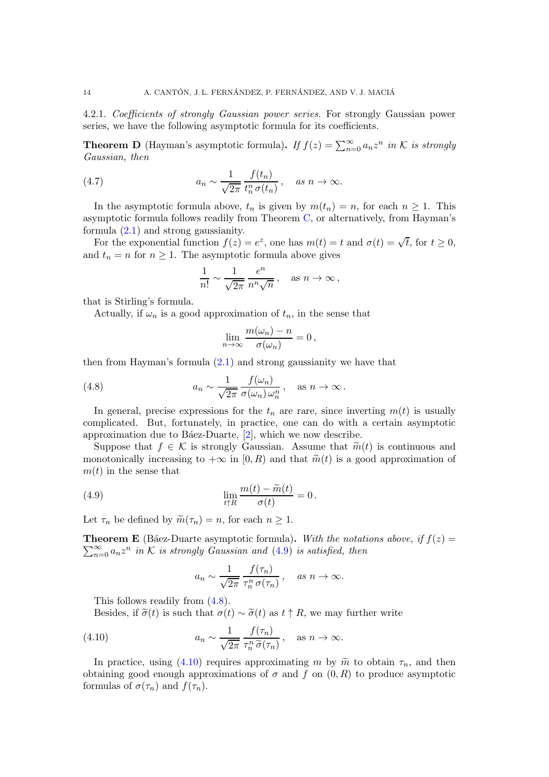<span id="page-13-1"></span>4.2.1. Coefficients of strongly Gaussian power series. For strongly Gaussian power series, we have the following asymptotic formula for its coefficients.

<span id="page-13-5"></span>**Theorem D** (Hayman's asymptotic formula). If  $f(z) = \sum_{n=0}^{\infty} a_n z^n$  in K is strongly Gaussian, then

(4.7) 
$$
a_n \sim \frac{1}{\sqrt{2\pi}} \frac{f(t_n)}{t_n^n \sigma(t_n)}, \quad \text{as } n \to \infty.
$$

In the asymptotic formula above,  $t_n$  is given by  $m(t_n) = n$ , for each  $n \geq 1$ . This asymptotic formula follows readily from Theorem [C,](#page-12-1) or alternatively, from Hayman's formula [\(2.1\)](#page-3-0) and strong gaussianity.

For the exponential function  $f(z) = e^z$ , one has  $m(t) = t$  and  $\sigma(t) = \sqrt{t}$ , for  $t \ge 0$ , and  $t_n = n$  for  $n \geq 1$ . The asymptotic formula above gives

<span id="page-13-2"></span>
$$
\frac{1}{n!} \sim \frac{1}{\sqrt{2\pi}} \frac{e^n}{n^n \sqrt{n}}, \quad \text{as } n \to \infty,
$$

that is Stirling's formula.

Actually, if  $\omega_n$  is a good approximation of  $t_n$ , in the sense that

<span id="page-13-3"></span>
$$
\lim_{n\to\infty}\frac{m(\omega_n)-n}{\sigma(\omega_n)}=0\,,
$$

then from Hayman's formula  $(2.1)$  and strong gaussianity we have that

(4.8) 
$$
a_n \sim \frac{1}{\sqrt{2\pi}} \frac{f(\omega_n)}{\sigma(\omega_n) \,\omega_n^n}, \quad \text{as } n \to \infty.
$$

In general, precise expressions for the  $t_n$  are rare, since inverting  $m(t)$  is usually complicated. But, fortunately, in practice, one can do with a certain asymptotic approximation due to B $\acute{a}$ ez-Duarte,  $[2]$ , which we now describe.

Suppose that  $f \in \mathcal{K}$  is strongly Gaussian. Assume that  $\widetilde{m}(t)$  is continuous and monotonically increasing to  $+\infty$  in [0, R) and that  $\tilde{m}(t)$  is a good approximation of  $m(t)$  in the sense that

(4.9) 
$$
\lim_{t \uparrow R} \frac{m(t) - \widetilde{m}(t)}{\sigma(t)} = 0.
$$

Let  $\tau_n$  be defined by  $\widetilde{m}(\tau_n) = n$ , for each  $n \geq 1$ .

<span id="page-13-6"></span> $\sum_{n=0}^{\infty} a_n z^n$  in K is strongly Gaussian and [\(4.9\)](#page-13-0) is satisfied, then **Theorem E** (Báez-Duarte asymptotic formula). With the notations above, if  $f(z) =$ 

<span id="page-13-4"></span><span id="page-13-0"></span>
$$
a_n \sim \frac{1}{\sqrt{2\pi}} \frac{f(\tau_n)}{\tau_n^n \sigma(\tau_n)}, \quad \text{as } n \to \infty.
$$

This follows readily from [\(4.8\)](#page-13-3).

Besides, if  $\tilde{\sigma}(t)$  is such that  $\sigma(t) \sim \tilde{\sigma}(t)$  as  $t \uparrow R$ , we may further write

(4.10) 
$$
a_n \sim \frac{1}{\sqrt{2\pi}} \frac{f(\tau_n)}{\tau_n^n \tilde{\sigma}(\tau_n)}, \quad \text{as } n \to \infty.
$$

In practice, using [\(4.10\)](#page-13-4) requires approximating m by  $\tilde{m}$  to obtain  $\tau_n$ , and then obtaining good enough approximations of  $\sigma$  and  $f$  on  $(0, R)$  to produce asymptotic formulas of  $\sigma(\tau_n)$  and  $f(\tau_n)$ .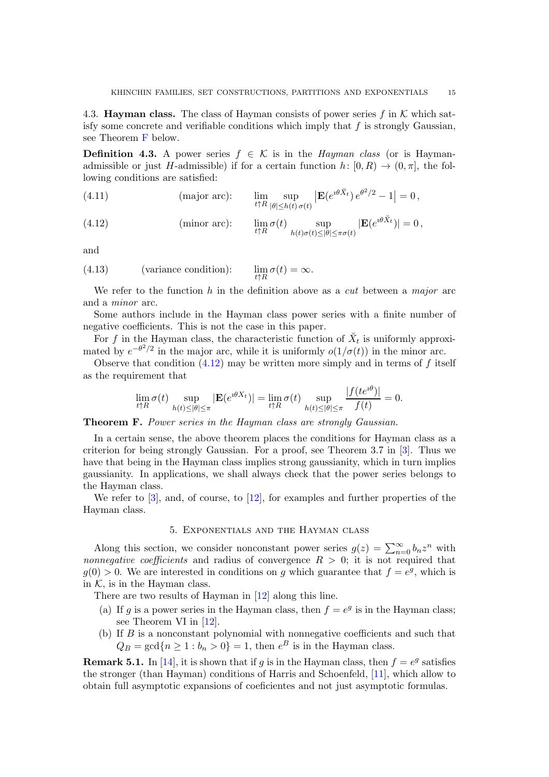<span id="page-14-1"></span>4.3. **Hayman class.** The class of Hayman consists of power series f in K which satisfy some concrete and verifiable conditions which imply that  $f$  is strongly Gaussian, see Theorem [F](#page-14-2) below.

**Definition 4.3.** A power series  $f \in \mathcal{K}$  is in the *Hayman class* (or is Haymanadmissible or just H-admissible) if for a certain function  $h: [0, R) \to (0, \pi]$ , the following conditions are satisfied:

<span id="page-14-5"></span>(4.11) (major arc): 
$$
\lim_{t \uparrow R} \sup_{|\theta| \le h(t) \sigma(t)} |\mathbf{E}(e^{i\theta \check{X}_t}) e^{\theta^2/2} - 1| = 0,
$$

<span id="page-14-3"></span>(4.12) (minor arc): 
$$
\lim_{t \uparrow R} \sigma(t) \sup_{h(t)\sigma(t) \leq |\theta| \leq \pi \sigma(t)} |\mathbf{E}(e^{i\theta \check{X}_t})| = 0,
$$

and

<span id="page-14-4"></span>(4.13) (variance condition): 
$$
\lim_{t \uparrow R} \sigma(t) = \infty
$$
.

We refer to the function  $h$  in the definition above as a *cut* between a *major* arc and a minor arc.

Some authors include in the Hayman class power series with a finite number of negative coefficients. This is not the case in this paper.

For f in the Hayman class, the characteristic function of  $\breve{X}_t$  is uniformly approximated by  $e^{-\theta^2/2}$  in the major arc, while it is uniformly  $o(1/\sigma(t))$  in the minor arc.

Observe that condition  $(4.12)$  may be written more simply and in terms of f itself as the requirement that

$$
\lim_{t\uparrow R}\sigma(t)\sup_{h(t)\leq|\theta|\leq\pi}|\mathbf{E}(e^{\imath\theta X_t})|=\lim_{t\uparrow R}\sigma(t)\sup_{h(t)\leq|\theta|\leq\pi}\frac{|f(te^{\imath\theta})|}{f(t)}=0.
$$

<span id="page-14-2"></span>Theorem F. Power series in the Hayman class are strongly Gaussian.

In a certain sense, the above theorem places the conditions for Hayman class as a criterion for being strongly Gaussian. For a proof, see Theorem 3.7 in [\[3\]](#page-22-0). Thus we have that being in the Hayman class implies strong gaussianity, which in turn implies gaussianity. In applications, we shall always check that the power series belongs to the Hayman class.

<span id="page-14-0"></span>We refer to  $[3]$ , and, of course, to  $[12]$ , for examples and further properties of the Hayman class.

#### 5. Exponentials and the Hayman class

Along this section, we consider nonconstant power series  $g(z) = \sum_{n=0}^{\infty} b_n z^n$  with *nonnegative coefficients* and radius of convergence  $R > 0$ ; it is not required that  $g(0) > 0$ . We are interested in conditions on g which guarantee that  $f = e^g$ , which is in  $K$ , is in the Hayman class.

There are two results of Hayman in [\[12\]](#page-22-1) along this line.

- (a) If g is a power series in the Hayman class, then  $f = e^g$  is in the Hayman class; see Theorem VI in [\[12\]](#page-22-1).
- (b) If  $B$  is a nonconstant polynomial with nonnegative coefficients and such that  $Q_B = \gcd\{n \geq 1 : b_n > 0\} = 1$ , then  $e^B$  is in the Hayman class.

**Remark 5.1.** In [\[14\]](#page-22-9), it is shown that if g is in the Hayman class, then  $f = e^g$  satisfies the stronger (than Hayman) conditions of Harris and Schoenfeld, [\[11\]](#page-22-10), which allow to obtain full asymptotic expansions of coeficientes and not just asymptotic formulas.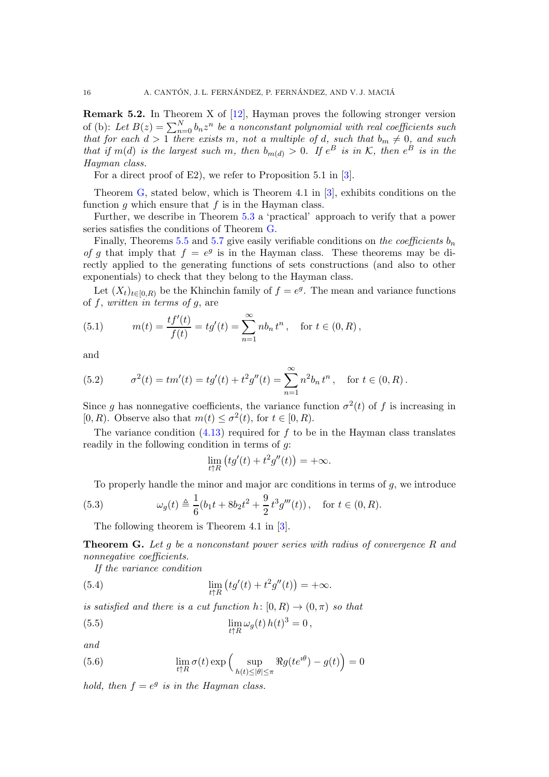Remark 5.2. In Theorem X of [\[12\]](#page-22-1), Hayman proves the following stronger version of (b): Let  $B(z) = \sum_{n=0}^{N} b_n z^n$  be a nonconstant polynomial with real coefficients such that for each  $d > 1$  there exists m, not a multiple of d, such that  $b_m \neq 0$ , and such that if  $m(d)$  is the largest such m, then  $b_{m(d)} > 0$ . If  $e^B$  is in K, then  $e^B$  is in the Hayman class.

For a direct proof of E2), we refer to Proposition 5.1 in [\[3\]](#page-22-0).

Theorem [G,](#page-15-0) stated below, which is Theorem 4.1 in [\[3\]](#page-22-0), exhibits conditions on the function g which ensure that  $f$  is in the Hayman class.

Further, we describe in Theorem [5.3](#page-16-0) a 'practical' approach to verify that a power series satisfies the conditions of Theorem [G.](#page-15-0)

Finally, Theorems [5.5](#page-17-0) and [5.7](#page-18-0) give easily verifiable conditions on the coefficients  $b_n$ of g that imply that  $f = e^g$  is in the Hayman class. These theorems may be directly applied to the generating functions of sets constructions (and also to other exponentials) to check that they belong to the Hayman class.

Let  $(X_t)_{t\in[0,R)}$  be the Khinchin family of  $f=e^g$ . The mean and variance functions of  $f$ , written in terms of  $g$ , are

(5.1) 
$$
m(t) = \frac{tf'(t)}{f(t)} = tg'(t) = \sum_{n=1}^{\infty} nb_n t^n, \text{ for } t \in (0, R),
$$

and

<span id="page-15-4"></span>(5.2) 
$$
\sigma^{2}(t) = tm'(t) = tg'(t) + t^{2}g''(t) = \sum_{n=1}^{\infty} n^{2}b_{n} t^{n}, \text{ for } t \in (0, R).
$$

Since g has nonnegative coefficients, the variance function  $\sigma^2(t)$  of f is increasing in [0, R). Observe also that  $m(t) \leq \sigma^2(t)$ , for  $t \in [0, R)$ .

The variance condition  $(4.13)$  required for f to be in the Hayman class translates readily in the following condition in terms of  $q$ :

$$
\lim_{t \uparrow R} (tg'(t) + t^2 g''(t)) = +\infty.
$$

To properly handle the minor and major arc conditions in terms of  $g$ , we introduce

(5.3) 
$$
\omega_g(t) \triangleq \frac{1}{6}(b_1t + 8b_2t^2 + \frac{9}{2}t^3g'''(t)), \text{ for } t \in (0, R).
$$

The following theorem is Theorem 4.1 in [\[3\]](#page-22-0).

<span id="page-15-0"></span>**Theorem G.** Let q be a nonconstant power series with radius of convergence R and nonnegative coefficients.

<span id="page-15-3"></span>If the variance condition

(5.4) 
$$
\lim_{t \uparrow R} (tg'(t) + t^2 g''(t)) = +\infty.
$$

is satisfied and there is a cut function  $h: [0, R) \to (0, \pi)$  so that

<span id="page-15-1"></span>(5.5) 
$$
\lim_{t \uparrow R} \omega_g(t) h(t)^3 = 0,
$$

and

<span id="page-15-2"></span>(5.6) 
$$
\lim_{t \uparrow R} \sigma(t) \exp \left( \sup_{h(t) \le |\theta| \le \pi} \Re g(t e^{i\theta}) - g(t) \right) = 0
$$

hold, then  $f = e^g$  is in the Hayman class.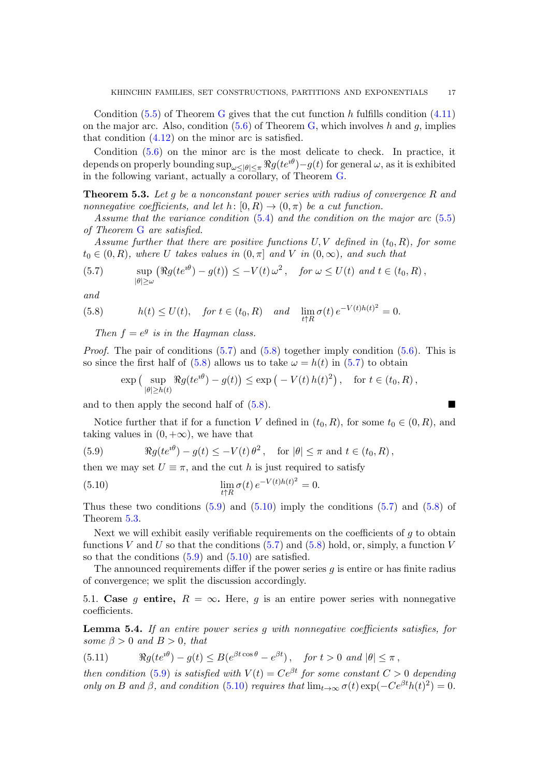Condition  $(5.5)$  of Theorem [G](#page-15-0) gives that the cut function h fulfills condition  $(4.11)$ on the major arc. Also, condition  $(5.6)$  of Theorem [G,](#page-15-0) which involves h and g, implies that condition [\(4.12\)](#page-14-3) on the minor arc is satisfied.

Condition [\(5.6\)](#page-15-2) on the minor arc is the most delicate to check. In practice, it depends on properly bounding  $\sup_{\omega \leq |\theta| \leq \pi} \Re g(t e^{i\theta}) - g(t)$  for general  $\omega$ , as it is exhibited in the following variant, actually a corollary, of Theorem [G.](#page-15-0)

<span id="page-16-0"></span>**Theorem 5.3.** Let g be a nonconstant power series with radius of convergence R and nonnegative coefficients, and let  $h: [0, R) \to (0, \pi)$  be a cut function.

Assume that the variance condition  $(5.4)$  and the condition on the major arc  $(5.5)$ of Theorem [G](#page-15-0) are satisfied.

Assume further that there are positive functions  $U, V$  defined in  $(t_0, R)$ , for some  $t_0 \in (0, R)$ , where U takes values in  $(0, \pi]$  and V in  $(0, \infty)$ , and such that

<span id="page-16-1"></span>(5.7) 
$$
\sup_{|\theta| \ge \omega} \left( \Re g(t e^{i\theta}) - g(t) \right) \le -V(t) \, \omega^2, \quad \text{for } \omega \le U(t) \text{ and } t \in (t_0, R),
$$

and

(5.8) 
$$
h(t) \le U(t), \quad \text{for } t \in (t_0, R) \quad \text{and} \quad \lim_{t \uparrow R} \sigma(t) e^{-V(t)h(t)^2} = 0.
$$

<span id="page-16-2"></span>Then  $f = e^g$  is in the Hayman class.

*Proof.* The pair of conditions  $(5.7)$  and  $(5.8)$  together imply condition  $(5.6)$ . This is so since the first half of [\(5.8\)](#page-16-2) allows us to take  $\omega = h(t)$  in [\(5.7\)](#page-16-1) to obtain

$$
\exp\left(\sup_{|\theta|\geq h(t)} \Re g(te^{i\theta}) - g(t)\right) \leq \exp\left(-V(t) h(t)^2\right), \text{ for } t \in (t_0, R),
$$

and to then apply the second half of  $(5.8)$ .

Notice further that if for a function V defined in  $(t_0, R)$ , for some  $t_0 \in (0, R)$ , and taking values in  $(0, +\infty)$ , we have that

<span id="page-16-3"></span>(5.9) 
$$
\Re g(te^{i\theta}) - g(t) \leq -V(t)\theta^2, \text{ for } |\theta| \leq \pi \text{ and } t \in (t_0, R),
$$

then we may set  $U \equiv \pi$ , and the cut h is just required to satisfy

<span id="page-16-4"></span>(5.10) 
$$
\lim_{t \uparrow R} \sigma(t) e^{-V(t)h(t)^2} = 0.
$$

Thus these two conditions  $(5.9)$  and  $(5.10)$  imply the conditions  $(5.7)$  and  $(5.8)$  of Theorem [5.3.](#page-16-0)

Next we will exhibit easily verifiable requirements on the coefficients of  $q$  to obtain functions V and U so that the conditions  $(5.7)$  and  $(5.8)$  hold, or, simply, a function V so that the conditions  $(5.9)$  and  $(5.10)$  are satisfied.

The announced requirements differ if the power series  $q$  is entire or has finite radius of convergence; we split the discussion accordingly.

5.1. Case g entire,  $R = \infty$ . Here, g is an entire power series with nonnegative coefficients.

<span id="page-16-6"></span>Lemma 5.4. If an entire power series g with nonnegative coefficients satisfies, for some  $\beta > 0$  and  $B > 0$ , that

<span id="page-16-5"></span>(5.11) 
$$
\Re g(te^{i\theta}) - g(t) \leq B(e^{\beta t \cos \theta} - e^{\beta t}), \quad \text{for } t > 0 \text{ and } |\theta| \leq \pi,
$$

then condition [\(5.9\)](#page-16-3) is satisfied with  $V(t) = Ce^{\beta t}$  for some constant  $C > 0$  depending only on B and  $\beta$ , and condition [\(5.10\)](#page-16-4) requires that  $\lim_{t\to\infty} \sigma(t) \exp(-Ce^{\beta t}h(t)^2) = 0$ .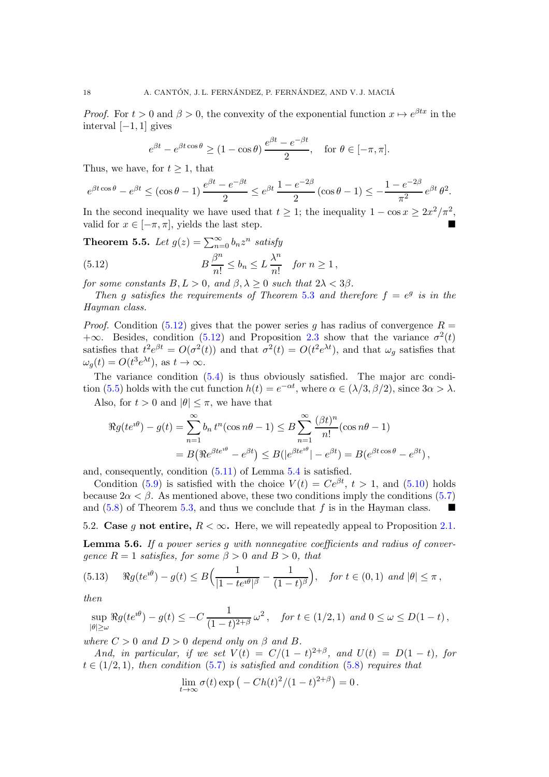*Proof.* For  $t > 0$  and  $\beta > 0$ , the convexity of the exponential function  $x \mapsto e^{\beta tx}$  in the interval [−1, 1] gives

$$
e^{\beta t} - e^{\beta t \cos \theta} \ge (1 - \cos \theta) \frac{e^{\beta t} - e^{-\beta t}}{2}
$$
, for  $\theta \in [-\pi, \pi]$ .

Thus, we have, for  $t \geq 1$ , that

$$
e^{\beta t \cos \theta} - e^{\beta t} \le (\cos \theta - 1) \frac{e^{\beta t} - e^{-\beta t}}{2} \le e^{\beta t} \frac{1 - e^{-2\beta}}{2} (\cos \theta - 1) \le -\frac{1 - e^{-2\beta}}{\pi^2} e^{\beta t} \theta^2.
$$

In the second inequality we have used that  $t \geq 1$ ; the inequality  $1 - \cos x \geq 2x^2/\pi^2$ . valid for  $x \in [-\pi, \pi]$ , yields the last step.

<span id="page-17-1"></span><span id="page-17-0"></span>**Theorem 5.5.** Let 
$$
g(z) = \sum_{n=0}^{\infty} b_n z^n
$$
 satisfy  
(5.12) 
$$
B \frac{\beta^n}{n!} \leq b_n \leq L \frac{\lambda^n}{n!} \text{ for } n \geq 1,
$$

for some constants  $B, L > 0$ , and  $\beta, \lambda > 0$  such that  $2\lambda < 3\beta$ .

Then g satisfies the requirements of Theorem [5.3](#page-16-0) and therefore  $f = e^g$  is in the Hayman class.

*Proof.* Condition [\(5.12\)](#page-17-1) gives that the power series q has radius of convergence  $R =$  $+\infty$ . Besides, condition [\(5.12\)](#page-17-1) and Proposition [2.3](#page-5-1) show that the variance  $\sigma^2(t)$ satisfies that  $t^2 e^{\beta t} = O(\sigma^2(t))$  and that  $\sigma^2(t) = O(t^2 e^{\lambda t})$ , and that  $\omega_g$  satisfies that  $\omega_g(t) = O(t^3 e^{\lambda t}), \text{ as } t \to \infty.$ 

The variance condition [\(5.4\)](#page-15-3) is thus obviously satisfied. The major arc condi-tion [\(5.5\)](#page-15-1) holds with the cut function  $h(t) = e^{-\alpha t}$ , where  $\alpha \in (\lambda/3, \beta/2)$ , since  $3\alpha > \lambda$ .

Also, for  $t > 0$  and  $|\theta| \leq \pi$ , we have that

$$
\Re g(te^{i\theta}) - g(t) = \sum_{n=1}^{\infty} b_n t^n (\cos n\theta - 1) \leq B \sum_{n=1}^{\infty} \frac{(\beta t)^n}{n!} (\cos n\theta - 1)
$$
  
=  $B (\Re e^{\beta te^{i\theta}} - e^{\beta t}) \leq B(|e^{\beta te^{i\theta}}| - e^{\beta t}) = B(e^{\beta t \cos \theta} - e^{\beta t}),$ 

and, consequently, condition [\(5.11\)](#page-16-5) of Lemma [5.4](#page-16-6) is satisfied.

Condition [\(5.9\)](#page-16-3) is satisfied with the choice  $V(t) = Ce^{\beta t}$ ,  $t > 1$ , and [\(5.10\)](#page-16-4) holds because  $2\alpha < \beta$ . As mentioned above, these two conditions imply the conditions [\(5.7\)](#page-16-1) and [\(5.8\)](#page-16-2) of Theorem [5.3,](#page-16-0) and thus we conclude that f is in the Hayman class.  $\blacksquare$ 

5.2. Case g not entire,  $R < \infty$ . Here, we will repeatedly appeal to Proposition [2.1.](#page-4-0)

<span id="page-17-3"></span>**Lemma 5.6.** If a power series  $q$  with nonnegative coefficients and radius of converqence  $R = 1$  satisfies, for some  $\beta > 0$  and  $B > 0$ , that

<span id="page-17-2"></span>
$$
(5.13) \quad \Re g(te^{i\theta}) - g(t) \leq B\Big(\frac{1}{|1 - te^{i\theta}|^{\beta}} - \frac{1}{(1 - t)^{\beta}}\Big), \quad \text{for } t \in (0, 1) \text{ and } |\theta| \leq \pi,
$$

then

$$
\sup_{|\theta| \ge \omega} \Re g(te^{i\theta}) - g(t) \le -C \frac{1}{(1-t)^{2+\beta}} \omega^2, \quad \text{for } t \in (1/2, 1) \text{ and } 0 \le \omega \le D(1-t),
$$

where  $C > 0$  and  $D > 0$  depend only on  $\beta$  and  $B$ .

And, in particular, if we set  $V(t) = C/(1-t)^{2+\beta}$ , and  $U(t) = D(1-t)$ , for  $t \in (1/2, 1)$ , then condition [\(5.7\)](#page-16-1) is satisfied and condition [\(5.8\)](#page-16-2) requires that

$$
\lim_{t \to \infty} \sigma(t) \exp\left(-\frac{Ch(t)^2}{(1-t)^{2+\beta}}\right) = 0.
$$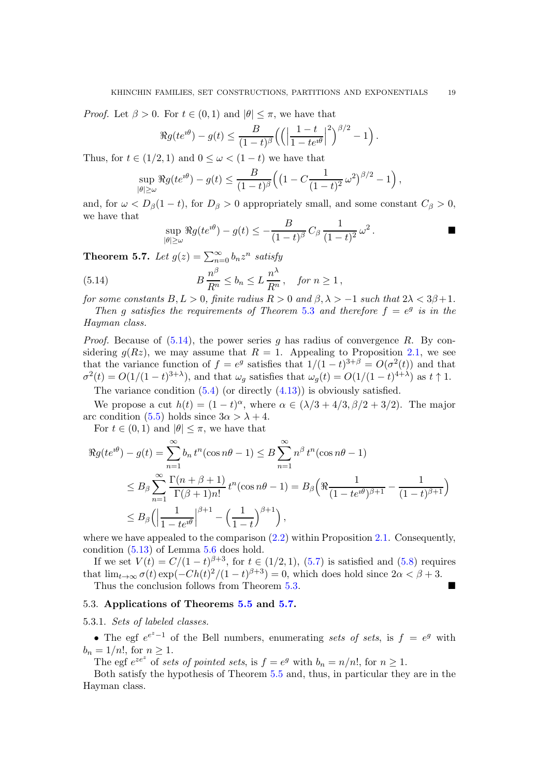*Proof.* Let  $\beta > 0$ . For  $t \in (0,1)$  and  $|\theta| \leq \pi$ , we have that

$$
\Re g(te^{i\theta}) - g(t) \leq \frac{B}{(1-t)^{\beta}} \left( \left( \left| \frac{1-t}{1-te^{i\theta}} \right|^2 \right)^{\beta/2} - 1 \right).
$$

Thus, for  $t \in (1/2, 1)$  and  $0 \leq \omega < (1-t)$  we have that

$$
\sup_{|\theta| \ge \omega} \Re g(t e^{i\theta}) - g(t) \le \frac{B}{(1-t)^{\beta}} \Big( \big(1 - C \frac{1}{(1-t)^2} \omega^2 \big)^{\beta/2} - 1 \Big),
$$

and, for  $\omega < D_{\beta}(1-t)$ , for  $D_{\beta} > 0$  appropriately small, and some constant  $C_{\beta} > 0$ , we have that

<span id="page-18-1"></span>
$$
\sup_{|\theta| \ge \omega} \Re g(t e^{i\theta}) - g(t) \le -\frac{B}{(1-t)^{\beta}} C_{\beta} \frac{1}{(1-t)^2} \omega^2.
$$

<span id="page-18-0"></span>**Theorem 5.7.** Let  $g(z) = \sum_{n=0}^{\infty} b_n z^n$  satisfy

(5.14) 
$$
B\frac{n^{\beta}}{R^n} \leq b_n \leq L\frac{n^{\lambda}}{R^n}, \text{ for } n \geq 1,
$$

for some constants  $B, L > 0$ , finite radius  $R > 0$  and  $\beta, \lambda > -1$  such that  $2\lambda < 3\beta + 1$ .

Then g satisfies the requirements of Theorem [5.3](#page-16-0) and therefore  $f = e^g$  is in the Hayman class.

*Proof.* Because of  $(5.14)$ , the power series q has radius of convergence R. By considering  $g(Rz)$ , we may assume that  $R = 1$ . Appealing to Proposition [2.1,](#page-4-0) we see that the variance function of  $f = e^g$  satisfies that  $1/(1-t)^{3+\beta} = O(\sigma^2(t))$  and that  $\sigma^2(t) = O(1/(1-t)^{3+\lambda})$ , and that  $\omega_g$  satisfies that  $\omega_g(t) = O(1/(1-t)^{4+\lambda})$  as  $t \uparrow 1$ .

The variance condition  $(5.4)$  (or directly  $(4.13)$ ) is obviously satisfied.

We propose a cut  $h(t) = (1-t)^{\alpha}$ , where  $\alpha \in (\lambda/3 + 4/3, \beta/2 + 3/2)$ . The major arc condition [\(5.5\)](#page-15-1) holds since  $3\alpha > \lambda + 4$ .

For  $t \in (0,1)$  and  $|\theta| \leq \pi$ , we have that

$$
\Re g(te^{i\theta}) - g(t) = \sum_{n=1}^{\infty} b_n t^n (\cos n\theta - 1) \leq B \sum_{n=1}^{\infty} n^{\beta} t^n (\cos n\theta - 1)
$$
  

$$
\leq B_{\beta} \sum_{n=1}^{\infty} \frac{\Gamma(n + \beta + 1)}{\Gamma(\beta + 1)n!} t^n (\cos n\theta - 1) = B_{\beta} \left( \Re \frac{1}{(1 - te^{i\theta})^{\beta + 1}} - \frac{1}{(1 - t)^{\beta + 1}} \right)
$$
  

$$
\leq B_{\beta} \left( \left| \frac{1}{1 - te^{i\theta}} \right|^{\beta + 1} - \left( \frac{1}{1 - t} \right)^{\beta + 1} \right),
$$

where we have appealed to the comparison [\(2.2\)](#page-4-1) within Proposition [2.1.](#page-4-0) Consequently, condition [\(5.13\)](#page-17-2) of Lemma [5.6](#page-17-3) does hold.

If we set  $V(t) = C/(1-t)^{\beta+3}$ , for  $t \in (1/2, 1)$ , [\(5.7\)](#page-16-1) is satisfied and [\(5.8\)](#page-16-2) requires that  $\lim_{t\to\infty} \sigma(t) \exp(-Ch(t)^2/(1-t)^{\beta+3}) = 0$ , which does hold since  $2\alpha < \beta + 3$ .

Thus the conclusion follows from Theorem [5.3.](#page-16-0)

## 5.3. Applications of Theorems [5.5](#page-17-0) and [5.7.](#page-18-0)

### 5.3.1. Sets of labeled classes.

• The egf  $e^{e^{z}-1}$  of the Bell numbers, enumerating sets of sets, is  $f = e^{g}$  with  $b_n = 1/n!$ , for  $n \ge 1$ .

The egf  $e^{ze^z}$  of sets of pointed sets, is  $f = e^g$  with  $b_n = n/n!$ , for  $n \ge 1$ .

Both satisfy the hypothesis of Theorem [5.5](#page-17-0) and, thus, in particular they are in the Hayman class.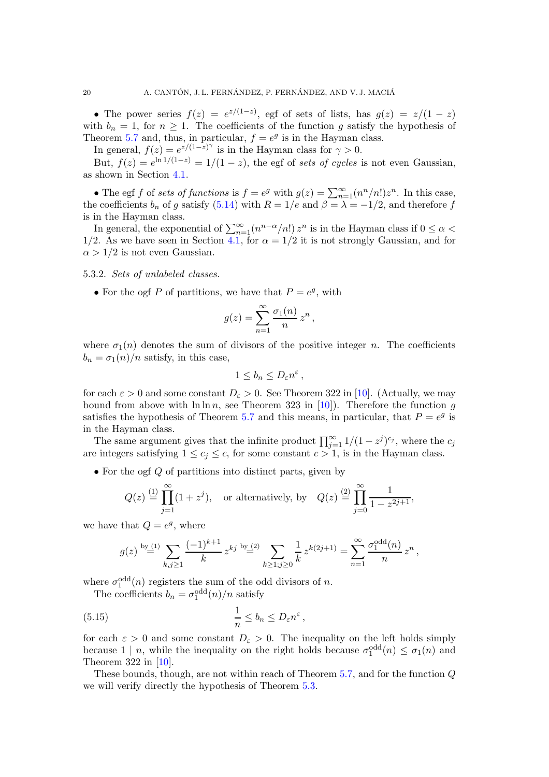• The power series  $f(z) = e^{z/(1-z)}$ , egf of sets of lists, has  $g(z) = z/(1-z)$ with  $b_n = 1$ , for  $n \geq 1$ . The coefficients of the function g satisfy the hypothesis of Theorem [5.7](#page-18-0) and, thus, in particular,  $f = e^g$  is in the Hayman class.

In general,  $f(z) = e^{z/(1-z)^{\gamma}}$  is in the Hayman class for  $\gamma > 0$ .

But,  $f(z) = e^{\ln 1/(1-z)} = 1/(1-z)$ , the egf of sets of cycles is not even Gaussian, as shown in Section [4.1.](#page-9-4)

• The egf f of sets of functions is  $f = e^g$  with  $g(z) = \sum_{n=1}^{\infty} (n^n/n!)z^n$ . In this case, the coefficients  $b_n$  of g satisfy [\(5.14\)](#page-18-1) with  $R = 1/e$  and  $\beta = \lambda = -1/2$ , and therefore f is in the Hayman class.

In general, the exponential of  $\sum_{n=1}^{\infty} (n^{n-\alpha}/n!) z^n$  is in the Hayman class if  $0 \leq \alpha$ 1/2. As we have seen in Section [4.1,](#page-9-4) for  $\alpha = 1/2$  it is not strongly Gaussian, and for  $\alpha > 1/2$  is not even Gaussian.

5.3.2. Sets of unlabeled classes.

• For the ogf P of partitions, we have that  $P = e^g$ , with

$$
g(z) = \sum_{n=1}^{\infty} \frac{\sigma_1(n)}{n} z^n,
$$

where  $\sigma_1(n)$  denotes the sum of divisors of the positive integer n. The coefficients  $b_n = \sigma_1(n)/n$  satisfy, in this case,

$$
1\leq b_n\leq D_\varepsilon n^\varepsilon\,,
$$

for each  $\varepsilon > 0$  and some constant  $D_{\varepsilon} > 0$ . See Theorem 322 in [\[10\]](#page-22-11). (Actually, we may bound from above with  $\ln \ln n$ , see Theorem 323 in [\[10\]](#page-22-11)). Therefore the function g satisfies the hypothesis of Theorem [5.7](#page-18-0) and this means, in particular, that  $P = e^{g}$  is in the Hayman class.

The same argument gives that the infinite product  $\prod_{j=1}^{\infty} 1/(1-z^j)^{c_j}$ , where the  $c_j$ are integers satisfying  $1 \leq c_j \leq c$ , for some constant  $c > 1$ , is in the Hayman class.

• For the ogf  $Q$  of partitions into distinct parts, given by

$$
Q(z) \stackrel{(1)}{=} \prod_{j=1}^{\infty} (1+z^j), \quad \text{or alternatively, by} \quad Q(z) \stackrel{(2)}{=} \prod_{j=0}^{\infty} \frac{1}{1-z^{2j+1}},
$$

we have that  $Q = e^g$ , where

<span id="page-19-0"></span>
$$
g(z) \stackrel{\text{by (1)}}{=} \sum_{k,j \geq 1} \frac{(-1)^{k+1}}{k} z^{kj} \stackrel{\text{by (2)}}{=} \sum_{k \geq 1; j \geq 0} \frac{1}{k} z^{k(2j+1)} = \sum_{n=1}^{\infty} \frac{\sigma_1^{\text{odd}}(n)}{n} z^n,
$$

where  $\sigma_1^{\text{odd}}(n)$  registers the sum of the odd divisors of n.

The coefficients  $b_n = \sigma_1^{\text{odd}}(n)/n$  satisfy

(5.15) 
$$
\frac{1}{n} \leq b_n \leq D_{\varepsilon} n^{\varepsilon},
$$

for each  $\varepsilon > 0$  and some constant  $D_{\varepsilon} > 0$ . The inequality on the left holds simply because  $1 | n$ , while the inequality on the right holds because  $\sigma_1^{\text{odd}}(n) \leq \sigma_1(n)$  and Theorem 322 in [\[10\]](#page-22-11).

These bounds, though, are not within reach of Theorem [5.7,](#page-18-0) and for the function Q we will verify directly the hypothesis of Theorem [5.3.](#page-16-0)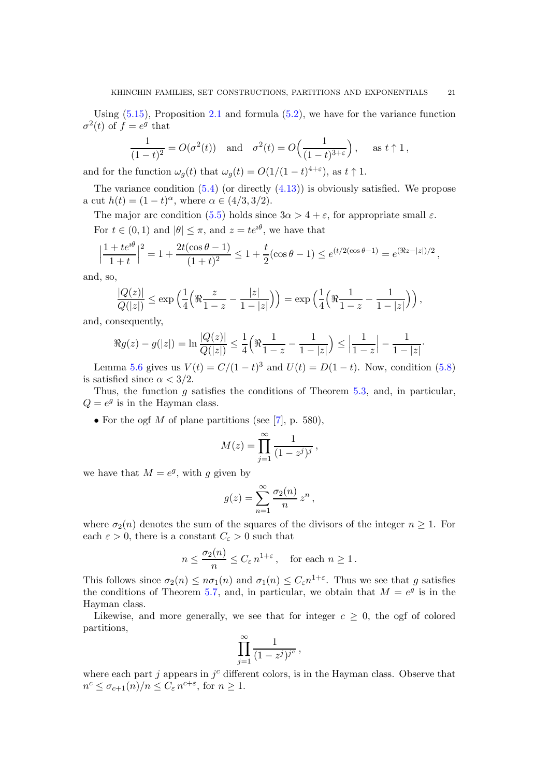Using  $(5.15)$ , Proposition [2.1](#page-4-0) and formula  $(5.2)$ , we have for the variance function  $\sigma^2(t)$  of  $f = e^g$  that

$$
\frac{1}{(1-t)^2} = O(\sigma^2(t)) \quad \text{and} \quad \sigma^2(t) = O\left(\frac{1}{(1-t)^{3+\varepsilon}}\right), \quad \text{as } t \uparrow 1,
$$

and for the function  $\omega_g(t)$  that  $\omega_g(t) = O(1/(1-t)^{4+\epsilon})$ , as  $t \uparrow 1$ .

The variance condition  $(5.4)$  (or directly  $(4.13)$ ) is obviously satisfied. We propose a cut  $h(t) = (1 - t)^{\alpha}$ , where  $\alpha \in (4/3, 3/2)$ .

The major arc condition [\(5.5\)](#page-15-1) holds since  $3\alpha > 4 + \varepsilon$ , for appropriate small  $\varepsilon$ . For  $t \in (0, 1)$  and  $|\theta| \leq \pi$ , and  $z = te^{i\theta}$ , we have that

$$
\left|\frac{1+te^{i\theta}}{1+t}\right|^2 = 1 + \frac{2t(\cos\theta-1)}{(1+t)^2} \le 1 + \frac{t}{2}(\cos\theta-1) \le e^{(t/2(\cos\theta-1))} = e^{(\Re z - |z|)/2},
$$

and, so,

$$
\frac{|Q(z)|}{|Q(|z|)} \le \exp\left(\frac{1}{4}\left(\Re\frac{z}{1-z} - \frac{|z|}{1-|z|}\right)\right) = \exp\left(\frac{1}{4}\left(\Re\frac{1}{1-z} - \frac{1}{1-|z|}\right)\right),
$$

and, consequently,

$$
\Re g(z) - g(|z|) = \ln \frac{|Q(z)|}{Q(|z|)} \le \frac{1}{4} \left( \Re \frac{1}{1-z} - \frac{1}{1-|z|} \right) \le \left| \frac{1}{1-z} \right| - \frac{1}{1-|z|}.
$$

Lemma [5.6](#page-17-3) gives us  $V(t) = C/(1-t)^3$  and  $U(t) = D(1-t)$ . Now, condition [\(5.8\)](#page-16-2) is satisfied since  $\alpha < 3/2$ .

Thus, the function  $g$  satisfies the conditions of Theorem [5.3,](#page-16-0) and, in particular,  $Q = e^g$  is in the Hayman class.

• For the ogf  $M$  of plane partitions (see [\[7\]](#page-22-3), p. 580),

$$
M(z) = \prod_{j=1}^{\infty} \frac{1}{(1 - z^j)^j},
$$

we have that  $M = e^g$ , with g given by

$$
g(z) = \sum_{n=1}^{\infty} \frac{\sigma_2(n)}{n} z^n,
$$

where  $\sigma_2(n)$  denotes the sum of the squares of the divisors of the integer  $n \geq 1$ . For each  $\varepsilon > 0$ , there is a constant  $C_{\varepsilon} > 0$  such that

$$
n \le \frac{\sigma_2(n)}{n} \le C_{\varepsilon} n^{1+\varepsilon}, \quad \text{for each } n \ge 1.
$$

This follows since  $\sigma_2(n) \leq n\sigma_1(n)$  and  $\sigma_1(n) \leq C_{\varepsilon} n^{1+\varepsilon}$ . Thus we see that g satisfies the conditions of Theorem [5.7,](#page-18-0) and, in particular, we obtain that  $M = e^g$  is in the Hayman class.

Likewise, and more generally, we see that for integer  $c \geq 0$ , the ogf of colored partitions,

$$
\prod_{j=1}^{\infty} \frac{1}{(1-z^j)^{j^c}},
$$

where each part  $j$  appears in  $j<sup>c</sup>$  different colors, is in the Hayman class. Observe that  $n^c \leq \sigma_{c+1}(n)/n \leq C_{\varepsilon} n^{c+\varepsilon}, \text{ for } n \geq 1.$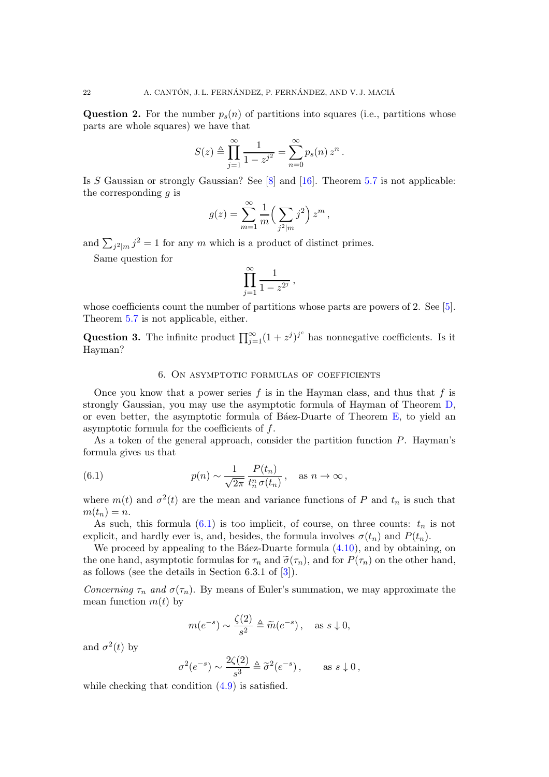**Question 2.** For the number  $p_s(n)$  of partitions into squares (i.e., partitions whose parts are whole squares) we have that

$$
S(z) \triangleq \prod_{j=1}^{\infty} \frac{1}{1 - z^{j^2}} = \sum_{n=0}^{\infty} p_s(n) z^n.
$$

Is S Gaussian or strongly Gaussian? See  $[8]$  and  $[16]$ . Theorem [5.7](#page-18-0) is not applicable: the corresponding  $q$  is

$$
g(z) = \sum_{m=1}^{\infty} \frac{1}{m} \left( \sum_{j^2 \mid m} j^2 \right) z^m,
$$

and  $\sum_{j^2|m} j^2 = 1$  for any m which is a product of distinct primes.

Same question for

$$
\prod_{j=1}^{\infty} \frac{1}{1-z^{2^j}},
$$

whose coefficients count the number of partitions whose parts are powers of 2. See [\[5\]](#page-22-13). Theorem [5.7](#page-18-0) is not applicable, either.

<span id="page-21-0"></span>Question 3. The infinite product  $\prod_{j=1}^{\infty} (1 + z^j)^{j^c}$  has nonnegative coefficients. Is it Hayman?

### <span id="page-21-1"></span>6. On asymptotic formulas of coefficients

Once you know that a power series f is in the Hayman class, and thus that f is strongly Gaussian, you may use the asymptotic formula of Hayman of Theorem [D,](#page-13-5) or even better, the asymptotic formula of B $\acute{a}$ ez-Duarte of Theorem [E,](#page-13-6) to yield an asymptotic formula for the coefficients of  $f$ .

As a token of the general approach, consider the partition function P. Hayman's formula gives us that

(6.1) 
$$
p(n) \sim \frac{1}{\sqrt{2\pi}} \frac{P(t_n)}{t_n^n \sigma(t_n)}, \text{ as } n \to \infty,
$$

where  $m(t)$  and  $\sigma^2(t)$  are the mean and variance functions of P and  $t_n$  is such that  $m(t_n)=n$ .

As such, this formula  $(6.1)$  is too implicit, of course, on three counts:  $t_n$  is not explicit, and hardly ever is, and, besides, the formula involves  $\sigma(t_n)$  and  $P(t_n)$ .

We proceed by appealing to the Báez-Duarte formula  $(4.10)$ , and by obtaining, on the one hand, asymptotic formulas for  $\tau_n$  and  $\tilde{\sigma}(\tau_n)$ , and for  $P(\tau_n)$  on the other hand, as follows (see the details in Section 6.3.1 of [\[3\]](#page-22-0)).

Concerning  $\tau_n$  and  $\sigma(\tau_n)$ . By means of Euler's summation, we may approximate the mean function  $m(t)$  by

$$
m(e^{-s}) \sim \frac{\zeta(2)}{s^2} \triangleq \widetilde{m}(e^{-s}), \text{ as } s \downarrow 0,
$$

and  $\sigma^2(t)$  by

$$
\sigma^2(e^{-s}) \sim \frac{2\zeta(2)}{s^3} \triangleq \tilde{\sigma}^2(e^{-s}), \quad \text{as } s \downarrow 0,
$$

while checking that condition  $(4.9)$  is satisfied.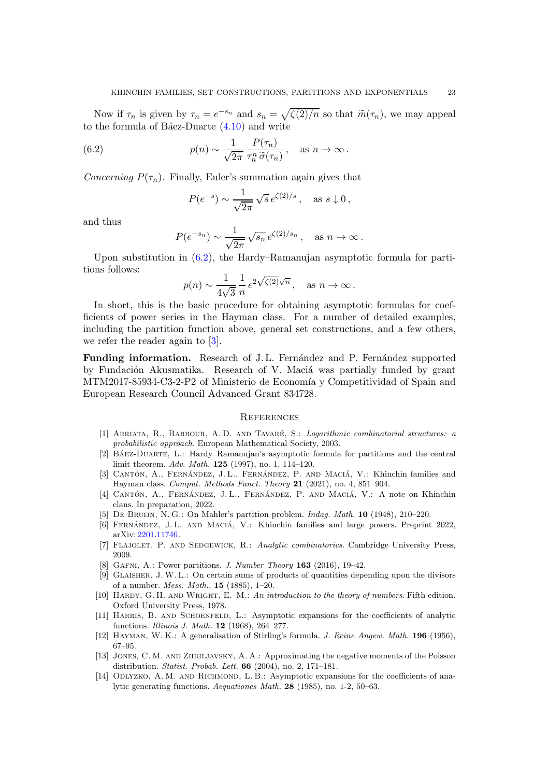Now if  $\tau_n$  is given by  $\tau_n = e^{-s_n}$  and  $s_n = \sqrt{\zeta(2)/n}$  so that  $\widetilde{m}(\tau_n)$ , we may appeal to the formula of B $áez-Du$ arte  $(4.10)$  and write

(6.2) 
$$
p(n) \sim \frac{1}{\sqrt{2\pi}} \frac{P(\tau_n)}{\tau_n^n \tilde{\sigma}(\tau_n)}, \text{ as } n \to \infty.
$$

Concerning  $P(\tau_n)$ . Finally, Euler's summation again gives that

<span id="page-22-14"></span>
$$
P(e^{-s}) \sim \frac{1}{\sqrt{2\pi}} \sqrt{s} e^{\zeta(2)/s}, \quad \text{as } s \downarrow 0,
$$

and thus

$$
P(e^{-s_n}) \sim \frac{1}{\sqrt{2\pi}} \sqrt{s_n} e^{\zeta(2)/s_n}
$$
, as  $n \to \infty$ .

Upon substitution in [\(6.2\)](#page-22-14), the Hardy–Ramanujan asymptotic formula for partitions follows:

$$
p(n) \sim \frac{1}{4\sqrt{3}} \frac{1}{n} e^{2\sqrt{\zeta(2)}\sqrt{n}}, \text{ as } n \to \infty.
$$

In short, this is the basic procedure for obtaining asymptotic formulas for coefficients of power series in the Hayman class. For a number of detailed examples, including the partition function above, general set constructions, and a few others, we refer the reader again to [\[3\]](#page-22-0).

Funding information. Research of J.L. Fernández and P. Fernández supported by Fundación Akusmatika. Research of V. Maciá was partially funded by grant MTM2017-85934-C3-2-P2 of Ministerio de Economía y Competitividad of Spain and European Research Council Advanced Grant 834728.

#### **REFERENCES**

- <span id="page-22-7"></span>[1] Arriata, R., Barbour, A. D. and Tavar´e, S.: *Logarithmic combinatorial structures: a probabilistic approach*. European Mathematical Society, 2003.
- <span id="page-22-2"></span>[2] BÁEZ-DUARTE, L.: Hardy–Ramanujan's asymptotic formula for partitions and the central limit theorem. *Adv. Math.* 125 (1997), no. 1, 114–120.
- <span id="page-22-0"></span>[3] CANTÓN, A., FERNÁNDEZ, J. L., FERNÁNDEZ, P. AND MACIÁ, V.: Khinchin families and Hayman class. *Comput. Methods Funct. Theory* 21 (2021), no. 4, 851–904.
- <span id="page-22-5"></span>[4] CANTÓN, A., FERNÁNDEZ, J.L., FERNÁNDEZ, P. AND MACIÁ, V.: A note on Khinchin clans. In preparation, 2022.
- <span id="page-22-13"></span><span id="page-22-4"></span>[5] De Bruijn, N. G.: On Mahler's partition problem. *Indag. Math.* 10 (1948), 210–220.
- <span id="page-22-3"></span>[6] FERNÁNDEZ, J. L. AND MACIÁ, V.: Khinchin families and large powers. Preprint 2022, arXiv: [2201.11746.](https://arxiv.org/abs/2201.11746)
- <span id="page-22-12"></span>[7] Flajolet, P. and Sedgewick, R.: *Analytic combinatorics*. Cambridge University Press, 2009.
- <span id="page-22-8"></span>[8] Gafni, A.: Power partitions. *J. Number Theory* 163 (2016), 19–42.
- [9] Glaisher, J. W. L.: On certain sums of products of quantities depending upon the divisors of a number. *Mess. Math.*, 15 (1885), 1–20.
- <span id="page-22-11"></span>[10] Hardy, G. H. and Wright, E. M.: *An introduction to the theory of numbers*. Fifth edition. Oxford University Press, 1978.
- <span id="page-22-10"></span>[11] Harris, B. and Schoenfeld, L.: Asymptotic expansions for the coefficients of analytic functions. *Illinois J. Math.* 12 (1968), 264–277.
- <span id="page-22-6"></span><span id="page-22-1"></span>[12] Hayman, W. K.: A generalisation of Stirling's formula. *J. Reine Angew. Math.* 196 (1956), 67–95.
- [13] Jones, C. M. and Zhigljavsky, A. A.: Approximating the negative moments of the Poisson distribution. *Statist. Probab. Lett.* 66 (2004), no. 2, 171–181.
- <span id="page-22-9"></span>[14] ODLYZKO, A. M. AND RICHMOND, L. B.: Asymptotic expansions for the coefficients of analytic generating functions. *Aequationes Math.* 28 (1985), no. 1-2, 50–63.